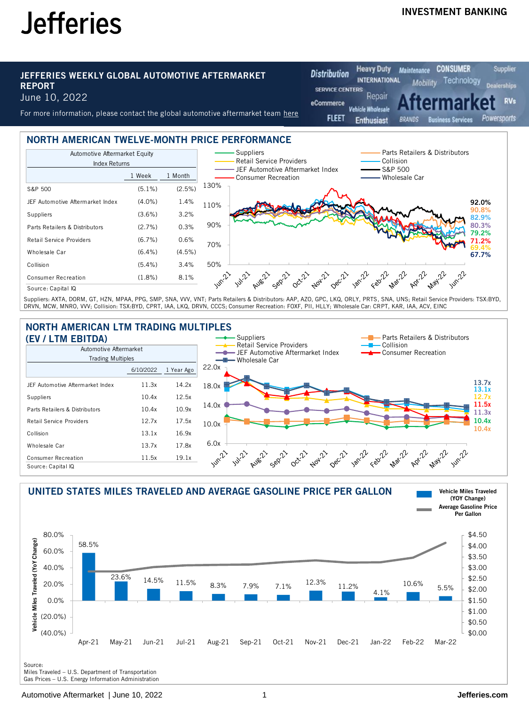## INVESTMENT BANKING

**CONSUMER** 

**Supplier** 

**RVs** 

#### JEFFERIES WEEKLY GLOBAL AUTOMOTIVE AFTERMARKET REPORT June 10, 2022

For more information, please contact the global automotive aftermarket team [here](mailto:GlobalAutomotiveAftermarketReport@jefferies.com)

**Distribution INTERNATIONAL** Technology Mobility lerships **SERVICE CENTERS** Repair eCommerce ilesal **FLEET** Powersports **Business Services Fnthusiast RRANDS** 

Maintenance

**Heavy Duty** 

#### NORTH AMERICAN TWELVE-MONTH PRICE PERFORMANCE



Suppliers: AXTA, DORM, GT, HZN, MPAA, PPG, SMP, SNA, VVV, VNT; Parts Retailers & Distributors: AAP, AZO, GPC, LKQ, ORLY, PRTS, SNA, UNS; Retail Service Providers: TSX:BYD, DRVN, MCW, MNRO, VVV; Collision: TSX:BYD, CPRT, IAA, LKQ, DRVN, CCCS; Consumer Recreation: FOXF, PII, HLLY; Wholesale Car: CRPT, KAR, IAA, ACV, EINC

# NORTH AMERICAN LTM TRADING MULTIPLES





Miles Traveled – U.S. Department of Transportation

Gas Prices – U.S. Energy Information Administration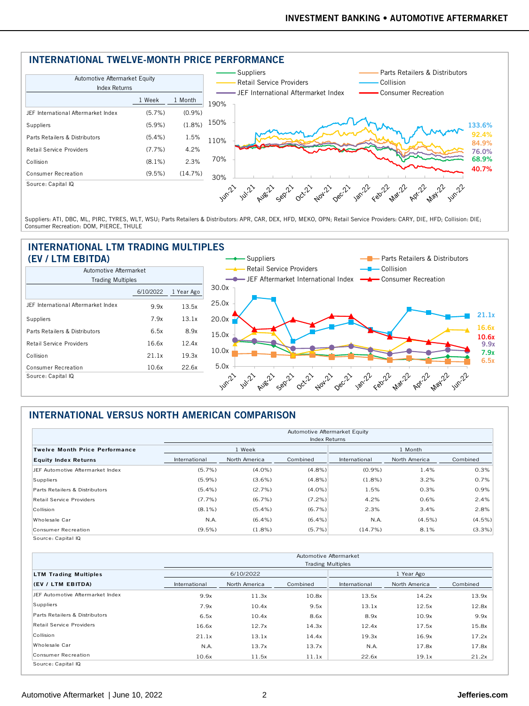## INTERNATIONAL TWELVE-MONTH PRICE PERFORMANCE



Suppliers: ATI, DBC, ML, PIRC, TYRES, WLT, WSU; Parts Retailers & Distributors: APR, CAR, DEX, HFD, MEKO, OPN; Retail Service Providers: CARY, DIE, HFD; Collision: DIE; Consumer Recreation: DOM, PIERCE, THULE

#### INTERNATIONAL LTM TRADING MULTIPLES (EV / LTM EBITDA)



## INTERNATIONAL VERSUS NORTH AMERICAN COMPARISON

|                                       |               |               | Automotive Aftermarket Equity |               |               |          |
|---------------------------------------|---------------|---------------|-------------------------------|---------------|---------------|----------|
|                                       |               |               | <b>Index Returns</b>          |               |               |          |
| <b>Twelve Month Price Performance</b> |               | 1 Week        |                               |               | 1 Month       |          |
| <b>Equity Index Returns</b>           | International | North America | Combined                      | International | North America | Combined |
| JEF Automotive Aftermarket Index      | (5.7%)        | $(4.0\%)$     | $(4.8\%)$                     | (0.9%         | 1.4%          | 0.3%     |
| Suppliers                             | $(5.9\%)$     | (3.6%)        | $(4.8\%)$                     | (1.8%)        | 3.2%          | 0.7%     |
| Parts Retailers & Distributors        | $(5.4\%)$     | (2.7%)        | $(4.0\%)$                     | 1.5%          | 0.3%          | 0.9%     |
| <b>Retail Service Providers</b>       | (7.7%)        | (6.7%)        | $(7.2\%)$                     | 4.2%          | 0.6%          | 2.4%     |
| Collision                             | $(8.1\%)$     | $(5.4\%)$     | $(6.7\%)$                     | 2.3%          | 3.4%          | 2.8%     |
| Wholesale Car                         | N.A.          | $(6.4\%)$     | $(6.4\%)$                     | N.A.          | $(4.5\%)$     | (4.5%)   |
| Consumer Recreation                   | (9.5%)        | $(1.8\%)$     | $(5.7\%)$                     | (14.7%)       | 8.1%          | (3.3%)   |

|                                  |               |               | Automotive Aftermarket   |               |               |          |
|----------------------------------|---------------|---------------|--------------------------|---------------|---------------|----------|
|                                  |               |               | <b>Trading Multiples</b> |               |               |          |
| <b>LTM Trading Multiples</b>     |               | 6/10/2022     |                          |               | 1 Year Ago    |          |
| (EV / LTM EBITDA)                | International | North America | Combined                 | International | North America | Combined |
| JFF Automotive Aftermarket Index | 9.9x          | 11.3x         | 10.8x                    | 13.5x         | 14.2x         | 13.9x    |
| Suppliers                        | 7.9x          | 10.4x         | 9.5x                     | 13.1x         | 12.5x         | 12.8x    |
| Parts Retailers & Distributors   | 6.5x          | 10.4x         | 8.6x                     | 8.9x          | 10.9x         | 9.9x     |
| Retail Service Providers         | 16.6x         | 12.7x         | 14.3x                    | 12.4x         | 17.5x         | 15.8x    |
| Collision                        | 21.1x         | 13.1x         | 14.4x                    | 19.3x         | 16.9x         | 17.2x    |
| Wholesale Car                    | N.A.          | 13.7x         | 13.7x                    | N.A.          | 17.8x         | 17.8x    |
| Consumer Recreation              | 10.6x         | 11.5x         | 11.1x                    | 22.6x         | 19.1x         | 21.2x    |
| Source: Capital IQ               |               |               |                          |               |               |          |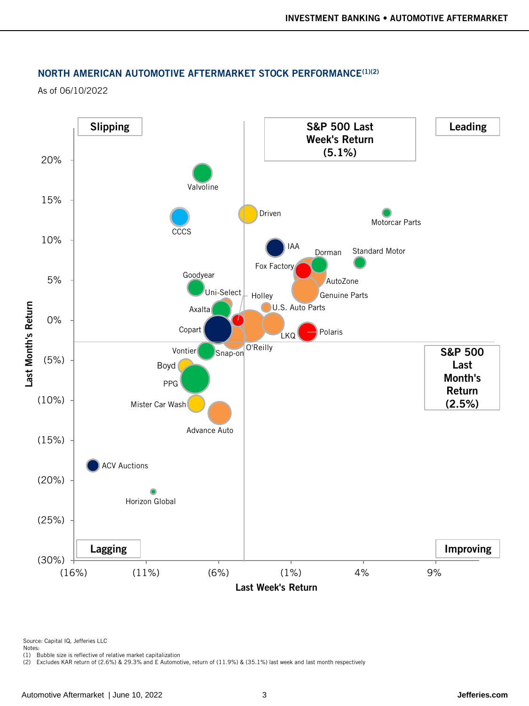#### NORTH AMERICAN AUTOMOTIVE AFTERMARKET STOCK PERFORMANCE<sup>(1)(2)</sup>

As of 06/10/2022



Source: Capital IQ, Jefferies LLC

(1) Bubble size is reflective of relative market capitalization (2) Excludes KAR return of (2.6%) & 29.3% and E Automotive, return of (11.9%) & (35.1%) last week and last month respectively

Notes: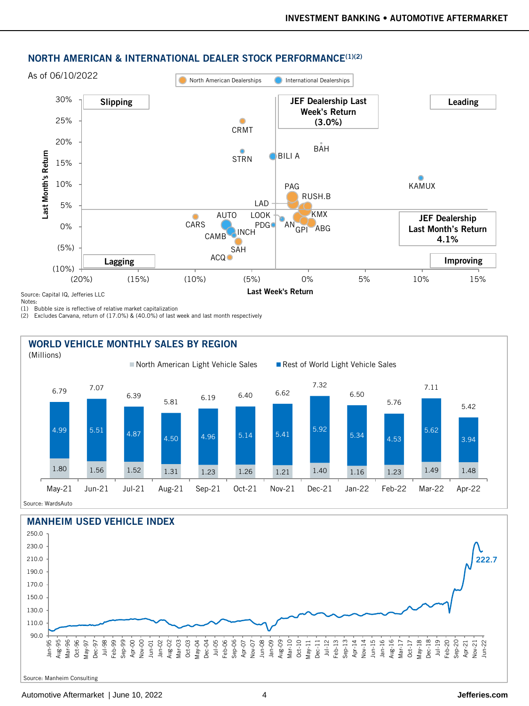

#### NORTH AMERICAN & INTERNATIONAL DEALER STOCK PERFORMANCE(1)(2)

Notes:

(1) Bubble size is reflective of relative market capitalization

(2) Excludes Carvana, return of (17.0%) & (40.0%) of last week and last month respectively



Source: WardsAuto



Source: Manheim Consulting

#### Automotive Aftermarket | June 10, 2022 4 **Jefferies.com**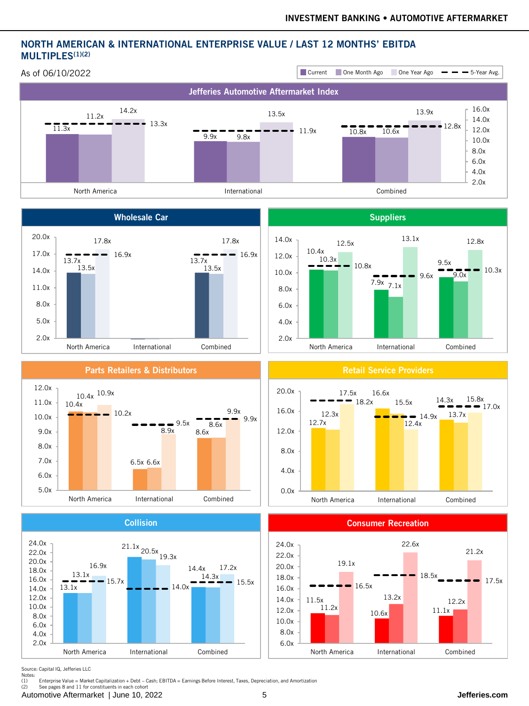## NORTH AMERICAN & INTERNATIONAL ENTERPRISE VALUE / LAST 12 MONTHS' EBITDA MULTIPLES<sup>(1)(2)</sup>



Source: Capital IQ, Jefferies LLC

Notes:<br>(1) wood...<br>(1) Enterprise Value = Market Capitalization + Debt – Cash; EBITDA = Earnings Before Interest, Taxes, Depreciation, and Amortization<br>(2) See nages 8 and 11 for constituents in each cohort

See pages 8 and 11 for constituents in each cohort

Automotive Aftermarket | June 10, 2022 5 **Jefferies.com**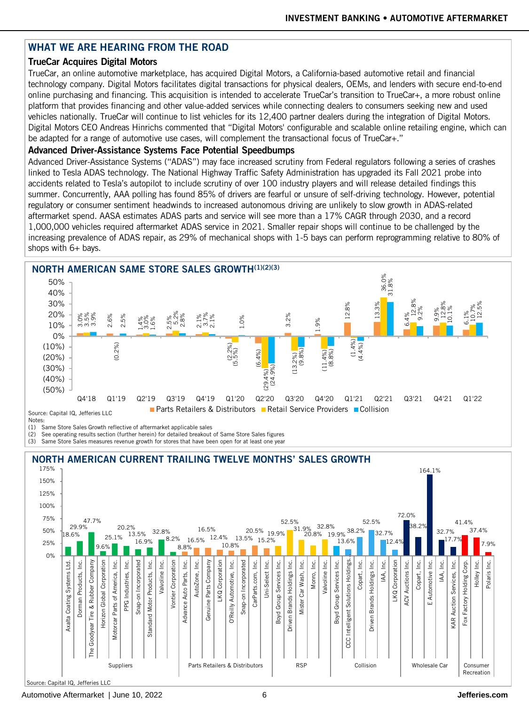## WHAT WE ARE HEARING FROM THE ROAD

## TrueCar Acquires Digital Motors

TrueCar, an online automotive marketplace, has acquired Digital Motors, a California-based automotive retail and financial technology company. Digital Motors facilitates digital transactions for physical dealers, OEMs, and lenders with secure end-to-end online purchasing and financing. This acquisition is intended to accelerate TrueCar's transition to TrueCar+, a more robust online platform that provides financing and other value-added services while connecting dealers to consumers seeking new and used vehicles nationally. TrueCar will continue to list vehicles for its 12,400 partner dealers during the integration of Digital Motors. Digital Motors CEO Andreas Hinrichs commented that "Digital Motors' configurable and scalable online retailing engine, which can be adapted for a range of automotive use cases, will complement the transactional focus of TrueCar+."

### Advanced Driver-Assistance Systems Face Potential Speedbumps

Advanced Driver-Assistance Systems ("ADAS") may face increased scrutiny from Federal regulators following a series of crashes linked to Tesla ADAS technology. The National Highway Traffic Safety Administration has upgraded its Fall 2021 probe into accidents related to Tesla's autopilot to include scrutiny of over 100 industry players and will release detailed findings this summer. Concurrently, AAA polling has found 85% of drivers are fearful or unsure of self-driving technology. However, potential regulatory or consumer sentiment headwinds to increased autonomous driving are unlikely to slow growth in ADAS-related aftermarket spend. AASA estimates ADAS parts and service will see more than a 17% CAGR through 2030, and a record 1,000,000 vehicles required aftermarket ADAS service in 2021. Smaller repair shops will continue to be challenged by the increasing prevalence of ADAS repair, as 29% of mechanical shops with 1-5 bays can perform reprogramming relative to 80% of shops with 6+ bays.



(1) Same Store Sales Growth reflective of aftermarket applicable sales

(2) See operating results section (further herein) for detailed breakout of Same Store Sales figures

(3) Same Store Sales measures revenue growth for stores that have been open for at least one year

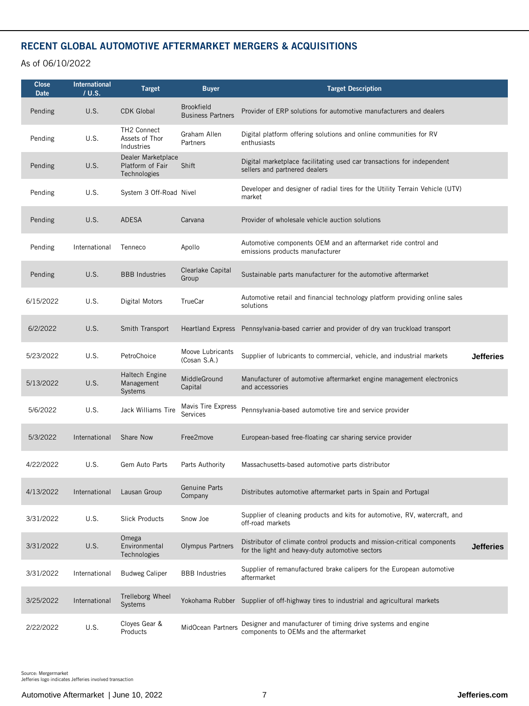## RECENT GLOBAL AUTOMOTIVE AFTERMARKET MERGERS & ACQUISITIONS

As of 06/10/2022

| <b>Close</b><br>Date | <b>International</b><br>/ U.S. | <b>Target</b>                                          | <b>Buyer</b>                                  | <b>Target Description</b>                                                                                                  |                  |
|----------------------|--------------------------------|--------------------------------------------------------|-----------------------------------------------|----------------------------------------------------------------------------------------------------------------------------|------------------|
| Pending              | U.S.                           | <b>CDK Global</b>                                      | <b>Brookfield</b><br><b>Business Partners</b> | Provider of ERP solutions for automotive manufacturers and dealers                                                         |                  |
| Pending              | U.S.                           | TH2 Connect<br>Assets of Thor<br>Industries            | Graham Allen<br>Partners                      | Digital platform offering solutions and online communities for RV<br>enthusiasts                                           |                  |
| Pending              | U.S.                           | Dealer Marketplace<br>Platform of Fair<br>Technologies | Shift                                         | Digital marketplace facilitating used car transactions for independent<br>sellers and partnered dealers                    |                  |
| Pending              | U.S.                           | System 3 Off-Road Nivel                                |                                               | Developer and designer of radial tires for the Utility Terrain Vehicle (UTV)<br>market                                     |                  |
| Pending              | U.S.                           | ADESA                                                  | Carvana                                       | Provider of wholesale vehicle auction solutions                                                                            |                  |
| Pending              | International                  | Tenneco                                                | Apollo                                        | Automotive components OEM and an aftermarket ride control and<br>emissions products manufacturer                           |                  |
| Pending              | U.S.                           | <b>BBB</b> Industries                                  | Clearlake Capital<br>Group                    | Sustainable parts manufacturer for the automotive aftermarket                                                              |                  |
| 6/15/2022            | U.S.                           | Digital Motors                                         | TrueCar                                       | Automotive retail and financial technology platform providing online sales<br>solutions                                    |                  |
| 6/2/2022             | U.S.                           | Smith Transport                                        |                                               | Heartland Express Pennsylvania-based carrier and provider of dry van truckload transport                                   |                  |
| 5/23/2022            | U.S.                           | PetroChoice                                            | Moove Lubricants<br>(Cosan S.A.)              | Supplier of lubricants to commercial, vehicle, and industrial markets                                                      | <b>Jefferies</b> |
| 5/13/2022            | U.S.                           | Haltech Engine<br>Management<br>Systems                | MiddleGround<br>Capital                       | Manufacturer of automotive aftermarket engine management electronics<br>and accessories                                    |                  |
| 5/6/2022             | U.S.                           | Jack Williams Tire                                     | Mavis Tire Express<br><b>Services</b>         | Pennsylvania-based automotive tire and service provider                                                                    |                  |
| 5/3/2022             | International                  | Share Now                                              | Free2move                                     | European-based free-floating car sharing service provider                                                                  |                  |
| 4/22/2022            | U.S.                           | Gem Auto Parts                                         | Parts Authority                               | Massachusetts-based automotive parts distributor                                                                           |                  |
| 4/13/2022            | International                  | Lausan Group                                           | Genuine Parts<br>Company                      | Distributes automotive aftermarket parts in Spain and Portugal                                                             |                  |
| 3/31/2022            | U.S.                           | Slick Products                                         | Snow Joe                                      | Supplier of cleaning products and kits for automotive, RV, watercraft, and<br>off-road markets                             |                  |
| 3/31/2022            | U.S.                           | Omega<br>Environmental<br>Technologies                 | <b>Olympus Partners</b>                       | Distributor of climate control products and mission-critical components<br>for the light and heavy-duty automotive sectors | <b>Jefferies</b> |
| 3/31/2022            | International                  | <b>Budweg Caliper</b>                                  | <b>BBB</b> Industries                         | Supplier of remanufactured brake calipers for the European automotive<br>aftermarket                                       |                  |
| 3/25/2022            | International                  | Trelleborg Wheel<br>Systems                            |                                               | Yokohama Rubber Supplier of off-highway tires to industrial and agricultural markets                                       |                  |
| 2/22/2022            | U.S.                           | Cloyes Gear &<br>Products                              | MidOcean Partners                             | Designer and manufacturer of timing drive systems and engine<br>components to OEMs and the aftermarket                     |                  |

Source: Mergermarket Jefferies logo indicates Jefferies involved transaction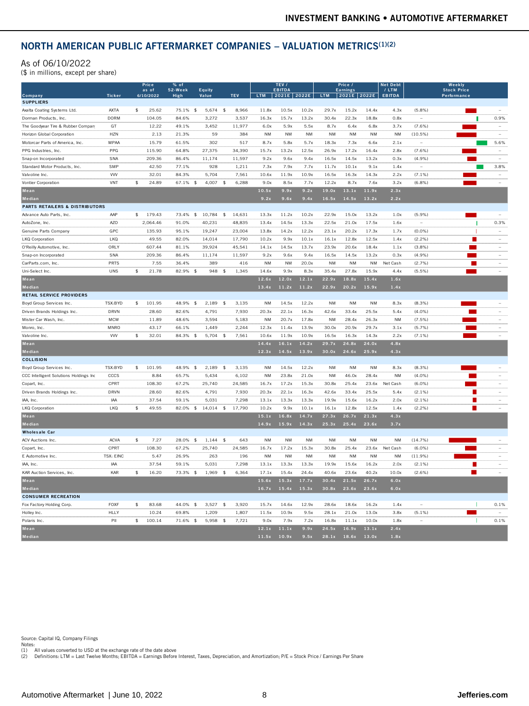### NORTH AMERICAN PUBLIC AFTERMARKET COMPANIES - VALUATION METRICS<sup>(1)(2)</sup>

#### As of 06/10/2022

| NORTH AMERICAN PUBLIC AFTERMARKET COMPANIES - VALUATION METRICS <sup>(1)(2)</sup> |                     |                        |                   |                                  |                |                                        |                        |                    |                        |                        |                    |                       |                         |                                                                                                                       |                          |
|-----------------------------------------------------------------------------------|---------------------|------------------------|-------------------|----------------------------------|----------------|----------------------------------------|------------------------|--------------------|------------------------|------------------------|--------------------|-----------------------|-------------------------|-----------------------------------------------------------------------------------------------------------------------|--------------------------|
| As of 06/10/2022<br>(\$ in millions, except per share)                            |                     |                        |                   |                                  |                |                                        |                        |                    |                        |                        |                    |                       |                         |                                                                                                                       |                          |
|                                                                                   |                     | Price<br>as of         | 52-Week           | Equity                           |                |                                        | TEV /<br><b>EBITDA</b> |                    |                        | Price<br>Earning:      |                    | et Deb<br>$/$ LTM     |                         | Weekly<br><b>Stock Price</b>                                                                                          |                          |
| Company                                                                           | <b>Ticker</b>       | 6/10/2022              | High              | Value                            | <b>TEV</b>     | LTM 2021E 2022E LTM 2021E 2022E EBITDA |                        |                    |                        |                        |                    |                       |                         | Performance                                                                                                           |                          |
| <b>SUPPLIERS</b>                                                                  |                     |                        |                   |                                  |                |                                        |                        |                    |                        |                        |                    |                       |                         |                                                                                                                       |                          |
| Axalta Coating Systems Ltd.<br>Dorman Products, Inc.                              | AXTA<br><b>DORM</b> | \$<br>25.62<br>104.05  | 75.1% \$<br>84.6% | $5,674$ \$<br>3.272              | 8,966<br>3.537 | 11.8x<br>16.3x                         | 10.5x<br>15.7x         | 10.2x<br>13.2x     | 29.7x<br>30.4x         | 15.2x<br>22.3x         | 14.4x<br>18.8x     | 4.3x<br>0.8x          | (5.8%)                  | $\mathcal{L}(\mathcal{L})$                                                                                            | 0.9%                     |
| The Goodvear Tire & Rubber Company                                                | <b>GT</b>           | 12.22                  | 49.1%             | 3.452                            | 11.977         | 6.0x                                   | 5.9x                   | 5.5x               | 8.7x                   | 6.4x                   | 6.8x               | 3.7x                  | (7.6%                   |                                                                                                                       | $\sim$                   |
| Horizon Global Corporation                                                        | <b>HZN</b>          | 2.13                   | 21.3%             | 59                               | 384            | <b>NM</b>                              | <b>NM</b>              | NM                 | NM                     | <b>NM</b>              | <b>NM</b>          | <b>NM</b>             | (10.5%)                 |                                                                                                                       |                          |
| Motorcar Parts of America, Inc.                                                   | <b>MPAA</b>         | 15.79                  | 61.5%             | 302                              | 517            | 8.7x                                   | 5.8x                   | 5.7x               | 18.3x                  | 7.3x                   | 6.6x               | 2.1x                  |                         |                                                                                                                       | 5.6%                     |
| PPG Industries, Inc.                                                              | PPG                 | 115.90                 | 64.8%             | 27,375                           | 34,390         | 15.7x                                  | 13.2x                  | 12.5x              | 26.9x                  | 17.2x                  | 16.4x              | 2.8x                  | $(7.6\%)$               |                                                                                                                       |                          |
| Snap-on Incorporated                                                              | SNA                 | 209.36                 | 86.4%             | 11.174                           | 11.597         | 9.2x                                   | 9.6x                   | 9.4x               | 16.5x                  | 14.5x                  | 13.2x              | 0.3x                  | $(4.9\%)$               | <b>The Co</b>                                                                                                         | $\sim$                   |
| Standard Motor Products, Inc.                                                     | SMP                 | 42.50                  | 77.1%             | 928                              | 1.211          | 7.3x                                   | 7.9x                   | 7.7x               | 11.7x                  | 10.1x                  | 9.1x               | 1.4x                  |                         |                                                                                                                       | 3.8%                     |
| Valvoline Inc.                                                                    | <b>WV</b>           | 32.01                  | 84.3%             | 5,704                            | 7,561          | 10.6x                                  | 11.9x                  | 10.9x              | 16.5x                  | 16.3x                  | 14.3x              | 2.2x                  | $(7.1\%)$               |                                                                                                                       |                          |
| Vontier Corporation                                                               | VNT                 | 24.89<br>\$            | 67.1% \$          | $4,007$ \$                       | 6,288          | 9.0x                                   | 8.5x                   | 7.7x               | 12.2x                  | 8.7x                   | 7.6x               | 3.2x                  | (6.8%)                  |                                                                                                                       |                          |
| Mean                                                                              |                     |                        |                   |                                  |                | 10.5x                                  | 9.9x                   | 9.2x               | 19.0x                  | $13.1x$ 11.9x          |                    | 2.3x                  |                         |                                                                                                                       |                          |
| Median                                                                            |                     |                        |                   |                                  |                | 9.2x                                   | 9.6x                   | 9.4x               | 16.5x                  | 14.5x                  | 13.2x              | 2.2x                  |                         |                                                                                                                       |                          |
| <b>PARTS RETAILERS &amp; DISTRIBUTORS</b>                                         |                     |                        |                   |                                  |                |                                        |                        |                    |                        |                        |                    |                       |                         |                                                                                                                       |                          |
| Advance Auto Parts, Inc.                                                          | AAP                 | \$179.43               |                   | 73.4% \$ 10,784 \$               | 14,631         | 13.3x                                  | 11.2x                  | 10.2x              | 22.9x                  | 15.0x                  | 13.2x              | 1.0x                  | (5.9%)                  | m.                                                                                                                    | $\sim$                   |
| AutoZone, Inc.                                                                    | <b>AZO</b>          | 2,064.46               | 91.0%             | 40.231                           | 48,835         | 13.4x                                  | 14.5x                  | 13.3x              | 22.5x                  | 21.0x                  | 17.5x              | 1.6x                  |                         |                                                                                                                       | 0.3%                     |
| Genuine Parts Company                                                             | GPC                 | 135.93                 | 95.1%             | 19.247                           | 23,004         | 13.8x                                  | 14.2x                  | 12.2x              | 23.1x                  | 20.2x                  | 17.3x              | 1.7x                  | $(0.0\%)$               |                                                                                                                       | $\sim$                   |
| <b>LKQ Corporation</b>                                                            | I KO                | 49.55                  | 82.0%             | 14.014                           | 17.790         | 10.2x                                  | 9.9x                   | 10.1x              | 16.1x                  | 12.8x                  | 12.5x              | 1.4x                  | (2.2%                   | <b>COL</b>                                                                                                            | $\sim$                   |
| O'Reilly Automotive, Inc.                                                         | ORLY                | 607.44                 | 81.1%             | 39,924                           | 45,541         | 14.1x                                  | 14.5x                  | 13.7x              | 23.9x                  | 20.6x                  | 18.4x              | 1.1x                  | $(3.8\%)$               | п                                                                                                                     | $\sim$                   |
| Snap-on Incorporated                                                              | SNA                 | 209.36                 | 86.4%             | 11,174                           | 11,597         | 9.2x                                   | 9.6x                   | 9.4x               | 16.5x                  | 14.5x                  | 13.2x              | 0.3x                  | (4.9%)                  | <b>The State</b>                                                                                                      | $\sim$                   |
| CarParts.com, Inc                                                                 | PRTS                | 7.55                   | 36.4%             | 389                              | 416            | NM                                     | NM                     | 20.0x              | <b>NM</b>              | $\mathsf{N}\mathsf{M}$ | <b>NM</b>          | Net Cash              | (2.7%)                  | <b>The Second</b>                                                                                                     |                          |
| Uni-Select Inc.                                                                   | <b>LINS</b>         | $\frac{1}{2}$<br>21.78 | $82.9\%$ \$       | 948<br>$\mathbf{f}$              | 1,345          | 14.6x                                  | 9.9x                   | 8.3x               | 35.4x                  | 27.8x                  | 15.9x              | 4.4x                  | (5.5% )                 | $\sim$                                                                                                                |                          |
| Mean                                                                              |                     |                        |                   |                                  |                | 12.6x                                  | 12.0x                  | 12.1x              | 22.9x                  |                        | 18.8x 15.4x        | 1.6x                  |                         |                                                                                                                       |                          |
| Median                                                                            |                     |                        |                   |                                  |                | 13.4x                                  | 11.2x                  | 11.2x              | 22.9x                  | 20.2x                  | 15.9x              | 1.4x                  |                         |                                                                                                                       |                          |
| <b>RETAIL SERVICE PROVIDERS</b>                                                   |                     |                        |                   |                                  |                |                                        |                        |                    |                        |                        |                    |                       |                         |                                                                                                                       |                          |
| Boyd Group Services Inc.                                                          | TSX:BYD             | \$101.95               |                   | 48.9% \$ 2,189 \$                | 3,135          | <b>NM</b>                              | 14.5x                  | 12.2x              | <b>NM</b>              | <b>NM</b>              | <b>NM</b>          | 8.3x                  | $(8.3\%)$               |                                                                                                                       | $\sim$                   |
| Driven Brands Holdings Inc.                                                       | DRVN                | 28.60                  | 82.6%             | 4.791                            | 7.930          | 20.3x                                  | 22.1x                  | 16.3x              | 42.6x                  | 33.4x                  | 25.5x              | 5.4x                  | (4.0%                   |                                                                                                                       | $\sim$                   |
| Mister Car Wash, Inc.                                                             | <b>MCW</b>          | 11.89                  | 48.6%             | 3.594                            | 5,183          | <b>NM</b>                              | 20.7x                  | 17.8x              | NM                     | 28.4x                  | 26.3x              | NM                    | (7.5%)                  | <b>START START</b>                                                                                                    | $\sim$                   |
| Monro, Inc.                                                                       | MNRO                | 43.17                  | 66.1%             | 1,449                            | 2,244          | 12.3x                                  | 11.4x                  | 13.9x              | 30.0x                  | 20.9x                  | 29.7x              | 3.1x                  | $(5.7\%)$               | <b>College</b>                                                                                                        | $\sim$                   |
| Valvoline Inc                                                                     | <b>WV</b>           | 32.01<br>$\sqrt{2}$    | 84.3% \$          | 5,704 \$                         | 7,561          | 10.6x                                  | 11.9x                  | 10.9x              | 16.5x                  | 16.3x                  | 14.3x              | 2.2x                  | $(7.1\%)$               |                                                                                                                       |                          |
| Mean                                                                              |                     |                        |                   |                                  |                | 14.4x                                  | 16.1x                  | 14.2x              | 29.7x                  | 24.8x                  | 24.0x              | 4.8x                  |                         |                                                                                                                       |                          |
| Median                                                                            |                     |                        |                   |                                  |                | $12.3x$ $14.5x$                        |                        | 13.9x              | 30.0x                  | 24.6x 25.9x            |                    | 4.3x                  |                         |                                                                                                                       |                          |
| <b>COLLISION</b>                                                                  |                     |                        |                   |                                  |                |                                        |                        |                    |                        |                        |                    |                       |                         |                                                                                                                       |                          |
| Boyd Group Services Inc.                                                          | TSX:BYD             | \$101.95               | 48.9% \$          | 2,189<br>$$\tilde{\phantom{a}}$$ | 3,135          | <b>NM</b>                              | 14.5x                  | 12.2x              | $\mathsf{N}\mathsf{M}$ | $\mathsf{N}\mathsf{M}$ | NM                 | 8.3x                  | $(8.3\%)$               |                                                                                                                       | $\overline{\phantom{a}}$ |
| CCC Intelligent Solutions Holdings Inc                                            | CCCS                | 8.84                   | 65.7%             | 5,434                            | 6,102          | <b>NM</b>                              | 23.8x                  | 21.0x              | <b>NM</b>              | 46.0x                  | 28.4x              | <b>NM</b>             | $(4.0\%)$               |                                                                                                                       | $\sim$                   |
| Copart, Inc.                                                                      | CPRT                | 108.30                 | 67.2%             | 25,740                           | 24,585         | 16.7x                                  | 17.2x                  | 15.3x              | 30.8x                  | 25.4x                  |                    | 23.6x Net Cash        | $(6.0\%)$               |                                                                                                                       | $\sim$                   |
| Driven Brands Holdings Inc.                                                       | <b>DRVN</b>         | 28.60                  | 82.6%             | 4.791                            | 7.930          | 20.3x                                  | 22.1x                  | 16.3x              | 42.6x                  | 33.4x                  | 25.5x              | 5.4x                  | $(2.1\%)$               |                                                                                                                       | $\sim$                   |
| IAA, Inc.                                                                         | IAA                 | 37.54                  | 59.1%             | 5,031                            | 7,298          | 13.1x                                  | 13.3x                  | 13.3x              | 19.9x                  | 15.6x                  | 16.2x              | 2.0x                  | $(2.1\%)$               |                                                                                                                       | $\sim$                   |
| <b>LKQ Corporation</b><br>Mean                                                    | <b>LKQ</b>          | 49.55<br>\$            |                   | 82.0% \$ 14,014 \$               | 17,790         | 10.2x                                  | 9.9x                   | 10.1x              | 16.1x                  | 12.8x                  | 12.5x              | 1.4x                  | $(2.2\%)$               |                                                                                                                       |                          |
|                                                                                   |                     |                        |                   |                                  |                | 15.1x<br>14.9x                         | 16.8x<br>15.9x         | 14.7x              | 27.3x                  | $26.7x$ 21.3x          |                    | 4.3x                  |                         |                                                                                                                       |                          |
| Median                                                                            |                     |                        |                   |                                  |                |                                        |                        | 14.3x              | 25.3x                  | 25.4x 23.6x            |                    | 3.7x                  |                         |                                                                                                                       |                          |
| <b>Wholesale Car</b>                                                              | <b>ACVA</b>         | 7.27                   | 28.0% \$          | $1,144$ \$                       | 643            | <b>NM</b>                              | <b>NM</b>              | <b>NM</b>          | NM                     | $\mathsf{N}\mathsf{M}$ | <b>NM</b>          | NM                    | (14.7%)                 |                                                                                                                       |                          |
| <b>ACV Auctions Inc</b>                                                           | CPRT                | $\frac{1}{2}$          |                   |                                  |                |                                        |                        |                    |                        |                        |                    |                       |                         |                                                                                                                       |                          |
| Copart, Inc.<br>E Automotive Inc                                                  | <b>TSX: EINC</b>    | 108.30<br>5.47         | 67.2%<br>26.9%    | 25,740<br>263                    | 24,585<br>196  | 16.7x<br><b>NM</b>                     | 17.2x<br><b>NM</b>     | 15.3x<br><b>NM</b> | 30.8x<br><b>NM</b>     | 25.4x<br><b>NM</b>     | 23.6x<br><b>NM</b> | Net Cash<br><b>NM</b> | $(6.0\%)$<br>$(11.9\%)$ |                                                                                                                       |                          |
| IAA, Inc.                                                                         | <b>IAA</b>          | 37.54                  | 59.1%             | 5.031                            | 7.298          | 13.1x                                  | 13.3x                  | 13.3x              | 19.9x                  | 15.6x                  | 16.2x              | 2.0x                  | (2.1%                   | п                                                                                                                     | $\sim$<br>$\sim$         |
| KAR Auction Services, Inc.                                                        | KAR                 | 16.20<br>\$            | 73.3% \$          | 1,969 \$                         | 6,364          | 17.1x                                  | 15.4x                  | 24.4x              | 40.6x                  | 23.6x                  | 40.2x              | 10.0x                 | $(2.6\%)$               | <b>The Contract of the Contract of the Contract of the Contract of the Contract of the Contract of the Contract o</b> | $\sim$                   |
| Mean                                                                              |                     |                        |                   |                                  |                | 15.6x                                  | 15.3x                  | 17.7x              | 30.4x                  | 21.5x 26.7x            |                    | 6.0x                  |                         |                                                                                                                       |                          |
| $\begin{array}{ l } \hline \textbf{Median} \end{array}$                           |                     |                        |                   |                                  |                | 16.7x                                  | 15.4x                  | 15.3x              | 30.8x                  | 23.6x                  | 23.6x              | 6.0x                  |                         |                                                                                                                       |                          |
| <b>CONSUMER RECREATION</b>                                                        |                     |                        |                   |                                  |                |                                        |                        |                    |                        |                        |                    |                       |                         |                                                                                                                       |                          |
| Fox Factory Holding Corp                                                          | FOXF                | $\mathcal{L}$<br>83.68 | $44.0\%$ \$       | $3.527$ \$                       | 3.920          | 15.7x                                  | 14.6x                  | 12.9x              | 28.6x                  | 18.6x                  | 16.2x              | 1.4x                  | $\sim$                  | $\blacksquare$                                                                                                        | 0.1%                     |
| Holley Inc.                                                                       | <b>HLLY</b>         | 10.24                  | 69.8%             | 1,209                            | 1,807          | 11.5x                                  | 10.9x                  | 9.5x               | 28.1x                  | 21.0x                  | 13.0x              | 3.8x                  | $(5.1\%)$               | $\mathcal{L}^{\text{max}}_{\text{max}}$                                                                               |                          |
| Polaris Inc                                                                       | PII                 | \$100.14               | 71.6% \$          | $5,958$ \$                       | 7,721          | 9.0x                                   | 7.9x                   | 7.2x               | 16.8x                  | 11.1x                  | 10.0x              | 1.8x                  |                         |                                                                                                                       | 0.1%                     |
| Mean                                                                              |                     |                        |                   |                                  |                | 12.1x                                  | 11.1x                  | 9.9x               | 24.5x                  | 16.9x                  | 13.1x              | 2.4x                  |                         |                                                                                                                       |                          |
| Median                                                                            |                     |                        |                   |                                  |                | 11.5x                                  | 10.9x                  | 9.5x               | 28.1x                  | 18.6x                  | 13.0x              | 1.8x                  |                         |                                                                                                                       |                          |
|                                                                                   |                     |                        |                   |                                  |                |                                        |                        |                    |                        |                        |                    |                       |                         |                                                                                                                       |                          |

Source: Capital IQ, Company Filings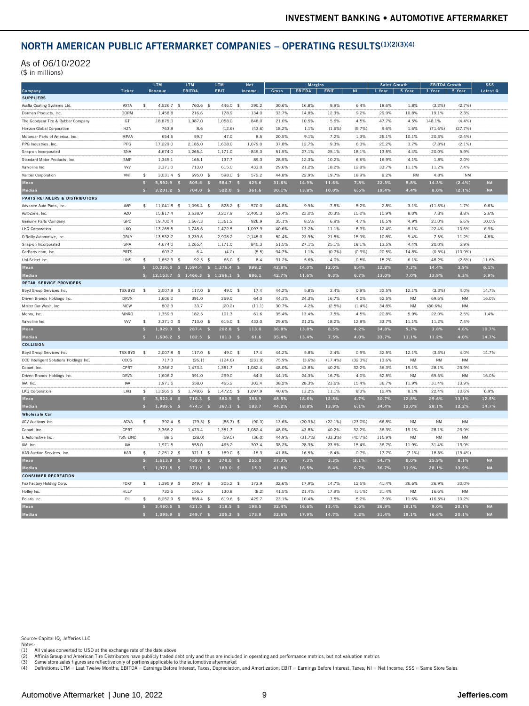#### NORTH AMERICAN PUBLIC AFTERMARKET COMPANIES – OPERATING RESULTS(1)(2)(3)(4)

| As of 06/10/2022<br>(\$ in millions)      |                  |                              |                                |                               |                                     |                      |                |                |                |                |                |                  |                                |                     |                        |
|-------------------------------------------|------------------|------------------------------|--------------------------------|-------------------------------|-------------------------------------|----------------------|----------------|----------------|----------------|----------------|----------------|------------------|--------------------------------|---------------------|------------------------|
| Company                                   | <b>Ticker</b>    | <b>LTM</b><br><b>Revenue</b> |                                | <b>LTM</b><br><b>EBITDA</b>   | <b>LTM</b><br>EBIT                  | <b>Net</b><br>Income | Gross          | <b>EBITDA</b>  | <b>EBIT</b>    | $\overline{N}$ | 1 Year         | Growth<br>5 Year | <b>EBITDA Growth</b><br>1 Year | 5 Year              | <b>SSS</b><br>Latest Q |
| <b>SUPPLIERS</b>                          |                  |                              |                                |                               |                                     |                      |                |                |                |                |                |                  |                                |                     |                        |
| Axalta Coating Systems Ltd.               | AXTA             | \$                           | 4,526.7<br>$\frac{4}{5}$       | 760.6<br>$\frac{4}{5}$        | 446.0<br>$\mathbf{\hat{S}}$         | 290.2                | 30.6%          | 16.8%          | 9.9%           | 6.4%           | 18.6%          | 1.8%             | (3.2%)                         | (2.7%               |                        |
| Dorman Products, Inc.                     | <b>DORM</b>      |                              | 1.458.8                        | 216.6                         | 178.9                               | 134.0                | 33.7%          | 14.8%          | 12.3%          | 9.2%           | 29.9%          | 10.8%            | 19.1%                          | 2.3%                |                        |
| The Goodyear Tire & Rubber Company        | GT               |                              | 18,875.0                       | 1.987.0                       | 1.058.0                             | 848.0                | 21.0%          | 10.5%          | 5.6%           | 4.5%           | 47.7%          | 4.5%             | 148.1%                         | (4.4%               |                        |
| Horizon Global Corporation                | <b>HZN</b>       |                              | 763.8                          | 8.6                           | (12.6)                              | (43.6)               | 18.2%          | 1.1%           | (1.6%          | (5.7%          | 9.6%           | 1.6%             | (71.6%)                        | (27.7%)             |                        |
| Motorcar Parts of America, Inc.           | <b>MPAA</b>      |                              | 654.5                          | 59.7                          | 47.0                                | 8.5                  | 20.5%          | 9 1%           | 7 2%           | 1.3%           | 25.1%          | 10.1%            | 20.3%                          | (2.4%               |                        |
| PPG Industries, Inc.                      | PPG              |                              | 17,229.0                       | 2.185.0                       | 1.608.0                             | 1.079.0              | 37.8%          | 12.7%          | 9.3%           | 6.3%           | 20.2%          | 3.7%             | (7.8%                          | (2.1%               |                        |
| Snap-on Incorporated                      | SNA              |                              | 4.674.0                        | 1.265.4                       | 1,171.0                             | 845.3                | 51.5%          | 27.1%          | 25.1%          | 18.1%          | 13.5%          | 4.4%             | 20.0%                          | 5.9%                |                        |
| Standard Motor Products, Inc.             | <b>SMP</b>       |                              | 1.345.1                        | 165.1                         | 137.7                               | 89.3                 | 28.5%          | 12.3%          | 10.2%          | 6.6%           | 16.9%          | 4.1%             | 1.8%                           | 20%                 |                        |
| Valvoline Inc.                            | <b>VVV</b>       |                              | 3.371.0                        | 713.0                         | 615.0                               | 433.0                | 29.6%          | 21.2%          | 18.2%          | 12.8%          | 33.7%          | 11.1%            | 11.2%                          | 7.4%                |                        |
| Vontier Corporation                       | VNT              | \$                           | 3.031.4<br>$\mathbf{\hat{S}}$  | 695.0<br>$\mathbf{\hat{S}}$   | 598.0<br>\$                         | 572.2                | 44.8%          | 22.9%          | 19.7%          | 18.9%          | 8.2%           | <b>NM</b>        | 4.8%                           | <b>NM</b>           |                        |
| Mean                                      |                  | \$                           | 5.592.9                        | 805.6                         | 584.7                               | 425.6                | 31.6%          | 14.9%          | 11.6%          | 7.8%           | 22.3%          | 5.8%             | 14.3%                          | (2.4%               | <b>NA</b>              |
| Median                                    |                  | $\mathbf{s}$                 | 3.201.2<br>$\mathbf{s}$        | 704.0<br><b>SS</b>            | 522.0<br>S                          | 361.6                | 30.1%          | 13.8%          | 10.0%          | 6.5%           | 19.4%          | 4.4%             | 8.0%                           | (2.1%               | <b>NA</b>              |
| <b>PARTS RETAILERS &amp; DISTRIBUTORS</b> |                  |                              |                                |                               |                                     |                      |                |                |                |                |                |                  |                                |                     |                        |
| Advance Auto Parts, Inc.                  | AAP              | \$                           | 11.041.8 \$                    | 1.096.4<br>\$                 | 828.2 \$                            | 570.0                | 44.8%          | 9.9%           | 7.5%           | 5.2%           | 2.8%           | 3.1%             | (11.6%)                        | 1.7%                | 0.6%                   |
| AutoZone, Inc.                            | AZ <sub>O</sub>  |                              | 15.817.4                       | 3.638.9                       | 3.207.9                             | 2.405.3              | 52.4%          | 23.0%          | 20.3%          | 15.2%          | 10.9%          | 8.0%             | 7.8%                           | 8.8%                | 2.6%                   |
| Genuine Parts Company                     | GPC              |                              | 19,700.4                       | 1.667.3                       | 1,361.2                             | 926.9                | 35.1%          | 8.5%           | 6.9%           | 4.7%           | 16.5%          | 4.9%             | 21.0%                          | 6.6%                | 10.0%                  |
| LKQ Corporation                           | LKQ<br>ORLY      |                              | 13,265.5<br>13.532.7           | 1,748.6<br>3.239.6            | 1,472.5<br>2.908.2                  | 1.097.9<br>2.145.0   | 40.6%<br>52.4% | 13.2%<br>23.9% | 11.1%<br>21.5% | 8.3%           | 12.4%          | 8.1%<br>9.4%     | 22.4%<br>7.6%                  | 10.6%<br>11.2%      | 6.9%                   |
| O'Reilly Automotive, Inc.                 |                  |                              |                                | 1.265.4                       | 1.171.0                             | 845.3                | 51.5%          | 27.1%          | 25.1%          | 15.9%<br>18.1% | 10.8%<br>13.5% | 4.4%             | 20.0%                          | 5.9%                | 4.8%                   |
| Snap-on Incorporated                      | SNA<br>PRTS      |                              | 4,674.0<br>603.7               |                               |                                     |                      | 34.7%          | 1.1%           | (0.7%          | (0.9%          | 20.5%          | 14.8%            | (0.5%                          |                     |                        |
| CarParts.com, Inc<br>Uni-Select Inc.      | LINS             | $\hat{\mathbf{x}}$           | 1.652.3<br>$\mathcal{F}$       | 6.4<br>92.5<br>$\frac{4}{3}$  | (4.2)<br>66.0<br>$\hat{\mathbf{x}}$ | (5.5)<br>8.4         | 31.2%          | 5.6%           | 4.0%           | 0.5%           | 15.2%          | 6.1%             | 48.2%                          | $(10.9\%)$<br>(2.6% | 11.6%                  |
| Mean                                      |                  | s                            | 10,036.0<br>-S                 | 1,594.4<br>$\mathbf{s}$       | 1,376.4<br>IS.                      | 999.2                | 42.8%          | 14.0%          | 12.0%          | 8.4%           | 12.8%          | 7.3%             | 14.4%                          | 3.9%                | 6.1%                   |
| Median                                    |                  | $\frac{1}{2}$                | 12,153.7<br>$\sqrt{5}$         | 1,466.3<br>$$$                | 1,266.1                             | 886.1                | 42.7%          | 11.6%          | 9.3%           | 6.7%           | 13.0%          | 7.0%             | 13.9%                          | 6.3%                | 5.9%                   |
| <b>RETAIL SERVICE PROVIDERS</b>           |                  |                              |                                |                               |                                     |                      |                |                |                |                |                |                  |                                |                     |                        |
| Boyd Group Services Inc.                  | TSX:BYD          | \$                           | $2,007.8$ \$                   | 117.0<br>$\frac{4}{3}$        | 49.0<br>$\hat{\mathbf{x}}$          | 17.4                 | 44.2%          | 5.8%           | 2.4%           | 0.9%           | 32.5%          | 12.1%            | (3.3%)                         | 4.0%                | 14.7%                  |
| Driven Brands Holdings Inc.               | DRVN             |                              | 1,606.2                        | 391.0                         | 269.0                               | 64.0                 | 44.1%          | 24.3%          | 16.7%          | 4.0%           | 52.5%          | <b>NM</b>        | 69.6%                          | <b>NM</b>           | 16.0%                  |
| Mister Car Wash, Inc.                     | <b>MCW</b>       |                              | 802.3                          | 33.7                          | (20.2)                              | (11.1)               | 30.7%          | 4.2%           | (2.5%          | (1.4%          | 34.8%          | <b>NM</b>        | (80.6%                         | <b>NM</b>           |                        |
| Monro, Inc.                               | MNRO             |                              | 1,359.3                        | 182.5                         | 101.3                               | 61.6                 | 35.4%          | 13.4%          | 7.5%           | 4.5%           | 20.8%          | 5.9%             | 22.0%                          | 2.5%                | 1.4%                   |
| Valvoline Inc                             | <b>VVV</b>       | \$                           | 3,371.0<br>$\frac{4}{3}$       | 713.0<br>$\frac{4}{3}$        | 615.0<br>\$                         | 433.0                | 29.6%          | 21.2%          | 18.2%          | 12.8%          | 33.7%          | 11.1%            | 11.2%                          | 7.4%                |                        |
| Mean                                      |                  | $\mathbf{S}$                 | 1.829.3<br><b>SS</b>           | 287.4<br>$\mathbf{s}$         | 202.8<br><b>S</b>                   | 113.0                | 36.8%          | 13.8%          | 8.5%           | 4.2%           | 34.8%          | 9.7%             | 3.8%                           | 4.6%                | 10.7%                  |
| Median                                    |                  | $\mathbf{s}$                 | 1.606.2<br>s                   | 182.5                         | 101.3                               | 61.6                 | 35.4%          | 13.4%          | 7.5%           | 4.0%           | 33.7%          | 11.1%            | 11.2%                          | 4.0%                | 14.7%                  |
| <b>COLLISION</b>                          |                  |                              |                                |                               |                                     |                      |                |                |                |                |                |                  |                                |                     |                        |
| Boyd Group Services Inc                   | TSX:BYD          | s.                           | $2,007.8$ \$                   | $117.0$ \$                    | 49.0 \$                             | 17.4                 | 44.2%          | 5.8%           | 2.4%           | 0.9%           | 32.5%          | 12.1%            | (3.3%)                         | 4.0%                | 14.7%                  |
| CCC Intelligent Solutions Holdings Inc.   | CCCS             |                              | 717.3                          | (26.1)                        | (124.6)                             | (231.9)              | 75.9%          | $(3.6\%)$      | (17.4%         | (32.3%)        | 13.6%          | <b>NM</b>        | <b>NM</b>                      | <b>NM</b>           |                        |
| Copart, Inc.                              | CPRT             |                              | 3.366.2                        | 1,473.4                       | 1,351.7                             | 1,082.4              | 48.0%          | 43.8%          | 40.2%          | 32.2%          | 36.3%          | 19.1%            | 28.1%                          | 23.9%               |                        |
| Driven Brands Holdings Inc.               | DRVN             |                              | 1,606.2                        | 391.0                         | 269.0                               | 64.0                 | 44.1%          | 24.3%          | 16.7%          | 4.0%           | 52.5%          | <b>NM</b>        | 69.6%                          | <b>NM</b>           | 16.0%                  |
| IAA, Inc.                                 | <b>IAA</b>       |                              | 1.971.5                        | 558.0                         | 465.2                               | 303.4                | 38.2%          | 28.3%          | 23.6%          | 15.4%          | 36.7%          | 11.9%            | 31.4%                          | 13.9%               |                        |
| LKQ Corporation                           | LKQ              | \$                           | 13.265.5<br>$\mathbf{\hat{S}}$ | 1.748.6<br>$\mathbf{\hat{S}}$ | 1.472.5<br>\$                       | 1.097.9              | 40.6%          | 13.2%          | 11.1%          | 8.3%           | 12.4%          | 8.1%             | 22.4%                          | 10.6%               | 6.9%                   |
| Mean                                      |                  | $\triangleleft$              | 3.822.4<br>S                   | 710.3<br>$\ddot{\bm{z}}$      | 580.5                               | 388.9                | 48.5%          | 18.6%          | 12.8%          | 4.7%           | 30.7%          | 12.8%            | 29.6%                          | 13.1%               | 12.5%                  |
| Median                                    |                  | $\mathbf{s}$                 | 1,989.6<br>$\mathbf{s}$        | 474.5<br>$\mathsf{s}$         | 367.1<br>S                          | 183.7                | 44.2%          | 18.8%          | 13.9%          | 6.1%           | 34.4%          | 12.0%            | 28.1%                          | 12.2%               | 14.7%                  |
| <b>Wholesale Car</b>                      |                  |                              |                                |                               |                                     |                      |                |                |                |                |                |                  |                                |                     |                        |
| <b>ACV Auctions Inc</b>                   | <b>ACVA</b>      | \$                           | $392.4$ \$                     | $(79.5)$ \$                   | $(86.7)$ \$                         | (90.3)               | 13.6%          | (20.3%         | (22.1%)        | $(23.0\%)$     | 66.8%          | <b>NM</b>        | <b>NM</b>                      | <b>NM</b>           |                        |
| Copart, Inc.                              | CPRT             |                              | 3,366.2                        | 1,473.4                       | 1,351.7                             | 1,082.4              | 48.0%          | 43.8%          | 40.2%          | 32.2%          | 36.3%          | 19.1%            | 28.1%                          | 23.9%               |                        |
| E Automotive Inc.                         | <b>TSX: EINC</b> |                              | 88.5                           | (28.0)                        | (29.5)                              | (36.0)               | 44.9%          | (31.7%)        | $(33.3\%)$     | (40.7%         | 115.9%         | <b>NM</b>        | <b>NM</b>                      | <b>NM</b>           |                        |
| IAA Inc.                                  | <b>IAA</b>       |                              | 1.971.5                        | 558.0                         | 465.2                               | 303.4                | 38.2%          | 28.3%          | 23.6%          | 15.4%          | 36.7%          | 11.9%            | 31.4%                          | 13.9%               |                        |
| KAR Auction Services, Inc.                | KAR              | $\hat{\mathbf{x}}$           | 2.251.2<br>$\mathbf{\hat{A}}$  | 371.1<br>$\frac{4}{3}$        | 189.0<br>$\hat{\mathbf{x}}$         | 15.3                 | 41.8%          | 16.5%          | 8.4%           | 0.7%           | 17.7%          | (7.1%            | 18.3%                          | $(13.4\%)$          |                        |
| Mean                                      |                  |                              | 1,613.9                        | 459.0                         | 378.0                               | 255.0                | 37.3%          | 7.3%           | 3.3%           | (3.1%          | 54.7%          | 8.0%             | 25.9%                          | 8.1%                | <b>NA</b>              |
| Median                                    |                  | $\mathbf{s}$                 | 1,971.5<br>$\mathsf{s}$        | 371.1<br>$\mathbf{s}$         | 189.0<br>$\mathbf{s}$               | 15.3                 | 41.8%          | 16.5%          | 8.4%           | 0.7%           | 36.7%          | 11.9%            | 28.1%                          | 13.9%               | <b>NA</b>              |
| <b>CONSUMER RECREATION</b>                |                  |                              |                                |                               |                                     |                      |                |                |                |                |                |                  |                                |                     |                        |
| Fox Factory Holding Corp.                 | FOXF             | \$                           | 1,395.9<br>$\frac{4}{3}$       | 249.7 \$                      | 205.2<br>\$                         | 173.9                | 32.6%          | 17.9%          | 14.7%          | 12.5%          | 41.4%          | 26.6%            | 26.9%                          | 30.0%               |                        |
| Holley Inc.                               | HLLY             |                              | 732.6                          | 156.5                         | 130.8                               | (8.2)                | 41.5%          | 21.4%          | 17.9%          | (1.1%          | 31.4%          | <b>NM</b>        | 16.6%                          | <b>NM</b>           |                        |
| Polaris Inc.                              | PII              | \$                           | 8,252.9<br>\$                  | 858.4<br>$\frac{4}{5}$        | 619.6<br>$\mathbf{\hat{z}}$         | 429.7                | 23.1%          | 10.4%          | 7.5%           | 5.2%           | 7.9%           | 11.6%            | $(16.5\%)$                     | 10.2%               |                        |
| Mean                                      |                  |                              | 3,460.5                        | 421.5                         | 318.5                               | 198.5                | 32.4%          | 16.6%          | 13.4%          | 5.5%           | 26.9%          | 19.1%            | 9.0%                           | 20.1%               | <b>NA</b>              |
| Median                                    |                  | $\mathbf{S}$                 | 1,395.9                        | 249.7<br>$\mathbf{s}$         | 205.2<br><b>s</b>                   | 173.9                | 32.6%          | 17.9%          | 14.7%          | 5.2%           | 31.4%          | 19.1%            | 16.6%                          | 20.1%               | <b>NA</b>              |

Source: Capital IQ, Jefferies LLC

Notes:<br>(1) All values converted to USD at the exchange rate of the date above<br>(2) Affinia Group and American Tire Distributors have publicly traded debt only and thus are included in operating and performance metrics, but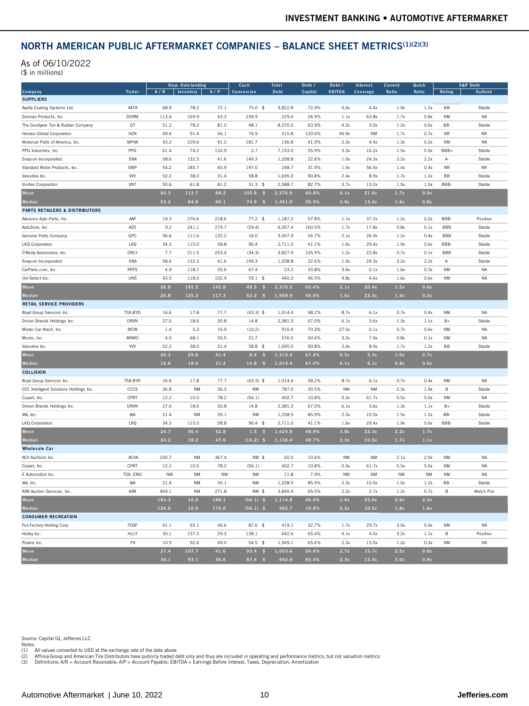#### NORTH AMERICAN PUBLIC AFTERMARKET COMPANIES – BALANCE SHEET METRICS(1)(2)(3)

| <b>NORTH AMERICAN PUBLIC AFTERMARKET COMPANIES - BALANCE SHEET METRICS(1)(2)(3)</b> |                  |       |                  |       |                   |                      |         |                         |           |                |                |            |                                |
|-------------------------------------------------------------------------------------|------------------|-------|------------------|-------|-------------------|----------------------|---------|-------------------------|-----------|----------------|----------------|------------|--------------------------------|
| As of 06/10/2022<br>(\$ in millions)                                                |                  |       |                  |       |                   |                      |         |                         |           |                |                |            |                                |
|                                                                                     | Ticker           |       | Days Outstanding |       | Cash              | <b>Total</b><br>Debt | Debt /  | Debt /<br><b>EBITDA</b> | Interest  | <b>Current</b> | Quick<br>Ratio |            | <b>S&amp;P Debt</b><br>Outlook |
| Company<br><b>SUPPLIERS</b>                                                         |                  | A/R   | Inventory        | A/P   | <b>Conversion</b> |                      | Capital |                         | Coverage  | Ratio          |                | Rating     |                                |
| Axalta Coating Systems Ltd.                                                         | AXTA             | 68.9  | 78.2             | 72.1  | 75.0 \$           | 3,822.8              | 72.9%   | 5.0x                    | 4.4x      | 1.9x           | 1.2x           | BB         | Stable                         |
| Dorman Products, Inc.                                                               | <b>DORM</b>      | 113.4 | 169.9            | 43.3  | 239.9             | 229.4                | 24.9%   | 1.1x                    | 63.8x     | 1.7x           | 0.8x           | <b>NM</b>  | <b>NA</b>                      |
| The Goodyear Tire & Rubber Company                                                  | GT               | 51.2  | 78.2             | 81.2  | 48.1              | 8,370.0              | 63.9%   | 4.2x                    | 3.0x      | 1.2x           | 0.6x           | BB-        | Stable                         |
| Horizon Global Corporation                                                          | HZN              | 49.6  | 91.4             | 66.1  | 74.9              | 315.8                | 120.6%  | 36.9x                   | <b>NM</b> | 1.7x           | 0.7x           | <b>NR</b>  | <b>NR</b>                      |
| Motorcar Parts of America, Inc.                                                     | MPAA             | 43.2  | 229.6            | 91.2  | 181.7             | 136.8                | 41.9%   | 2.3x                    | 4.4x      | 1.3x           | 0.2x           | NM         | NA                             |
| PPG Industries, Inc.                                                                | PPG              | 61.4  | 74.2             | 132.9 | 2.7               | 7,153.0              | 55.9%   | 3.3x                    | 16.2x     | 1.5x           | 0.9x           | BBB+       | Stable                         |
| Snap-on Incorporated                                                                | SNA              | 58.6  | 132.3            | 41.6  | 149.3             | 1,208.8              | 22.6%   | 1.0x                    | 24.3x     | 3.2x           | 2.2x           | A-         | Stable                         |
| Standard Motor Products, Inc.                                                       | SMP              | 54.2  | 183.7            | 40.9  | 197.0             | 248.7                | 31.9%   | 1.5x                    | 56.5x     | 1.4x           | 0.4x           | <b>NR</b>  | <b>NR</b>                      |
| Valvoline Inc.                                                                      | <b>WV</b>        | 52.2  | 38.0             | 31.4  | 58.8              | 1,695.0              | 90.8%   | 2.4x                    | 8.9x      | 1.7x           | 1.2x           | BB         | Stable                         |
| Vontier Corporation                                                                 | VNT              | 50.6  | 61.8             | 81.2  | 31.3<br>\$        | 2,588.7              | 82.7%   | 3.7x                    | 13.2x     | 1.5x           | 1.0x           | BBB-       | Stable                         |
| Mean                                                                                |                  | 60.3  | 113.7            | 68.2  | 105.9<br>-\$      | 2,576.9              | 60.8%   | 6.1x                    | 21.6x     | 1.7x           | 0.9x           |            |                                |
| Median                                                                              |                  | 53.2  | 84.8             | 69.1  | $74.9$ \$         | 1,451.9              | 59.9%   | 2.8x                    | 13.2x     | 1.6x           | 0.8x           |            |                                |
| <b>PARTS RETAILERS &amp; DISTRIBUTORS</b>                                           |                  |       |                  |       |                   |                      |         |                         |           |                |                |            |                                |
| Advance Auto Parts, Inc.                                                            | AAP              | 19.3  | 276.6            | 218.6 | $77.2$ \$         | 1,187.2              | 57.8%   | 1.1x                    | 37.2x     | 1.2x           | 0.2x           | BBB-       | Positive                       |
| AutoZone, Inc.                                                                      | AZO              | 9.2   | 241.1            | 279.7 | (29.4)            | 6,057.4              | 160.5%  | 1.7x                    | 17.8x     | 0.8x           | 0.1x           | <b>BBB</b> | Stable                         |
| Genuine Parts Company                                                               | GPC              | 36.6  | 111.6            | 132.2 | 16.0              | 3,507.9              | 54.7%   | 2.1x                    | 26.9x     | 1.2x           | 0.4x           | <b>BBB</b> | Stable                         |
| LKQ Corporation                                                                     | <b>LKQ</b>       | 34.3  | 115.0            | 58.8  | 90.4              | 2,711.0              | 41.1%   | 1.6x                    | 29.4x     | 1.9x           | 0.6x           | BBB-       | Stable                         |
| O'Reilly Automotive, Inc.                                                           | ORLY             | 7.7   | 211.5            | 253.4 | (34.3)            | 3,827.9              | 105.9%  | 1.2x                    | 22.8x     | 0.7x           | 0.1x           | <b>BBB</b> | Stable                         |
| Snap-on Incorporated                                                                | SNA              | 58.6  | 132.3            | 41.6  | 149.3             | 1,208.8              | 22.6%   | 1.0x                    | 24.3x     | 3.2x           | 2.2x           | A-         | Stable                         |
| CarParts.com, Inc.                                                                  | PRTS             | 4.9   | 118.1            | 55.6  | 67.4              | 23.2                 | 33.8%   | 3.6x                    | 0.1x      | 1.6x           | 0.3x           | NM         | <b>NA</b>                      |
| Uni-Select Inc.                                                                     | UNS              | 43.5  | 118.0            | 102.4 | $59.1$ \$         | 440.3                | 46.5%   | 4.8x                    | 4.6x      | 1.6x           | 0.6x           | <b>NM</b>  | NA                             |
| Mean                                                                                |                  | 26.8  | 165.5            | 142.8 | $49.5$ \$         | 2,370.5              | 65.4%   | 2.1x                    | 20.4x     | 1.5x           | 0.6x           |            |                                |
| Median                                                                              |                  | 26.8  | 125.2            | 117.3 | $63.2$ \$         | 1,959.9              | 50.6%   | 1.6x                    | 23.5x     | 1.4x           | 0.3x           |            |                                |
| RETAIL SERVICE PROVIDERS                                                            |                  |       |                  |       |                   |                      |         |                         |           |                |                |            |                                |
| Boyd Group Services Inc.                                                            | TSX:BYD          | 16.6  | 17.8             | 77.7  | $(43.3)$ \$       | 1,014.4              | 58.2%   | 8.7x                    | 6.1x      | 0.7x           | 0.4x           | NM         | NA                             |
| Driven Brands Holdings Inc.                                                         | DRVN             | 27.0  | 18.6             | 30.8  | 14.8              | 2,381.3              | 67.0%   | 6.1x                    | 3.6x      | 1.3x           | 1.1x           | $B+$       | Stable                         |
| Mister Car Wash, Inc.                                                               | <b>MCW</b>       | 1.4   | 5.3              | 16.9  | (10.2)            | 910.4                | 70.3%   | 27.0x                   | 0.1x      | 0.7x           | 0.6x           | <b>NM</b>  | NA                             |
| Monro, Inc.                                                                         | MNRO             | 4.0   | 68.1             | 50.5  | 21.7              | 576.0                | 50.6%   | 3.2x                    | 7.9x      | 0.8x           | 0.1x           | NM         | <b>NA</b>                      |
| Valvoline Inc.                                                                      | <b>WV</b>        | 52.2  | 38.0             | 31.4  | 58.8 \$           | 1,695.0              | 90.8%   | 2.4x                    | 8.9x      | 1.7x           | 1.2x           | BB         | Stable                         |
| Mean                                                                                |                  | 20.3  | 29.6             | 41.4  | 8.4<br>-\$        | 1,315.4              | 67.4%   | 9.5x                    | 5.3x      | 1.0x           | 0.7x           |            |                                |
| Median                                                                              |                  | 16.6  | 18.6             | 31.4  | 14.8<br>−\$       | 1,014.4              | 67.0%   | 6.1x                    | 6.1x      | 0.8x           | 0.6x           |            |                                |
| <b>COLLISION</b>                                                                    |                  |       |                  |       |                   |                      |         |                         |           |                |                |            |                                |
| Boyd Group Services Inc.                                                            | TSX:BYD          | 16.6  | 17.8             | 77.7  | $(43.3)$ \$       | 1,014.4              | 58.2%   | 8.7x                    | 6.1x      | 0.7x           | 0.4x           | NM         | <b>NA</b>                      |
| CCC Intelligent Solutions Holdings Inc.                                             | CCCS             | 36.8  | NM               | 36.3  | <b>NM</b>         | 787.0                | 30.5%   | <b>NM</b>               | <b>NM</b> | 2.3x           | 1.9x           | B          | Stable                         |
| Copart, Inc.                                                                        | CPRT             | 12.2  | 10.0             | 78.2  | (56.1)            | 402.7                | 10.8%   | 0.3x                    | 61.7x     | 5.5x           | 5.0x           | NM         | NA                             |
| Driven Brands Holdings Inc.                                                         | DRVN             | 27.0  | 18.6             | 30.8  | 14.8              | 2,381.3              | 67.0%   | 6.1x                    | 3.6x      | 1.3x           | 1.1x           | $B+$       | Stable                         |
| IAA, Inc.                                                                           | IAA              | 21.4  | <b>NM</b>        | 35.1  | <b>NM</b>         | 1,258.5              | 85.9%   | 2.3x                    | 10.5x     | 1.5x           | 1.2x           | BB-        | Stable                         |
| LKQ Corporation                                                                     | <b>LKQ</b>       | 34.3  | 115.0            | 58.8  | $90.4 \text{ } $$ | 2,711.0              | 41.1%   | 1.6x                    | 29.4x     | 1.9x           | 0.6x           | BBB-       | Stable                         |
| Mean                                                                                |                  | 24.7  | 40.4             | 52.8  | $1.5 - $$         | 1,425.8              | 48.9%   | 3.8x                    | 22.3x     | 2.2x           | 1.7x           |            |                                |
| Median                                                                              |                  | 24.2  | 18.2             | 47.6  | $(14.2)$ \$       | 1,136.4              | 49.7%   | 2.3x                    | 10.5x     | 1.7x           | 1.1x           |            |                                |
| <b>Wholesale Car</b>                                                                |                  |       |                  |       |                   |                      |         |                         |           |                |                |            |                                |
| ACV Auctions Inc.                                                                   | <b>ACVA</b>      | 230.7 | <b>NM</b>        | 367.4 | NM \$             | 60.5                 | 10.6%   | <b>NM</b>               | <b>NM</b> | 2.1x           | 2.0x           | NM         | <b>NA</b>                      |
| Copart, Inc.                                                                        | CPRT             | 12.2  | 10.0             | 78.2  | (56.1)            | 402.7                | 10.8%   | 0.3x                    | 61.7x     | 5.5x           | 5.0x           | <b>NM</b>  | <b>NA</b>                      |
| E Automotive Inc.                                                                   | <b>TSX: EINC</b> | NM    | NM               | ΝM    | ΝM                | 11.8                 | 7.9%    | ΝM                      | ΝM        | NM             | NM             | ΝM         | NA                             |
| IAA, Inc.                                                                           | IAA              | 21.4  | NM               | 35.1  | NM                | 1,258.5              | 85.9%   | 2.3x                    | 10.5x     | 1.5x           | 1.2x           | BB-        | Stable                         |
| KAR Auction Services, Inc.                                                          | KAR              | 469.1 | NM               | 271.8 | NM \$             | 3,840.4              | 65.0%   | 2.2x                    | 2.7x      | 1.2x           | 0.7x           | B          | Watch Pos                      |
| Mean                                                                                |                  | 183.3 | 10.0             | 188.1 | $(56.1)$ \$       | 1,114.8              | 36.0%   | 1.6x                    | 25.0x     | 2.6x           | 2.3x           |            |                                |
| Median                                                                              |                  | 126.0 | 10.0             | 175.0 | $(56.1)$ \$       | 402.7                | 10.8%   | 2.2x                    | 10.5x     | 1.8x           | 1.6x           |            |                                |
| <b>CONSUMER RECREATION</b>                                                          |                  |       |                  |       |                   |                      |         |                         |           |                |                |            |                                |
| Fox Factory Holding Corp.                                                           | FOXF             | 41.1  | 93.1             | 46.6  | 87.6 \$           | 419.1                | 32.7%   | 1.7x                    | 29.7x     | 3.0x           | 0.9x           | NM         | NA                             |
| Holley Inc.                                                                         | HLLY             | 30.1  | 137.3            | 29.3  | 138.1             | 642.6                | 65.4%   | 4.1x                    | 4.0x      | 3.2x           | 1.1x           | B          | Positive                       |
| Polaris Inc.                                                                        | P                | 10.9  | 92.6             | 49.0  | $54.5$ \$         | 1,949.1              | 65.6%   | 2.3x                    | 13.5x     | 1.2x           | 0.3x           | NM         | NA                             |
| Mean                                                                                |                  | 27.4  | 107.7            | 41.6  | $93.4$ \$         | 1,003.6              | 54.6%   | 2.7x                    | 15.7x     | 2.5x           | 0.8x           |            |                                |
| Median                                                                              |                  | 30.1  | 93.1             | 46.6  | $87.6$ \$         | 642.6                | 65.4%   | 2.3x                    | 13.5x     | 3.0x           | 0.9x           |            |                                |

Source: Capital IQ, Jefferies LLC

Notes:<br>(1) All values converted to USD at the exchange rate of the date above<br>(2) Affinia Group and American Tire Distributors have publicly traded debt only and thus are included in operating and performance metri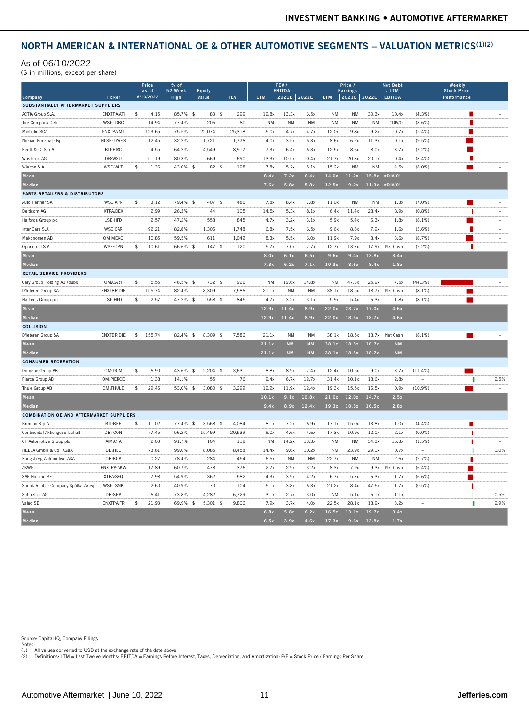## NORTH AMERICAN & INTERNATIONAL OE & OTHER AUTOMOTIVE SEGMENTS - VALUATION METRICS<sup>(1)(2)</sup>

#### As of 06/10/2022

| NORTH AMERICAN & INTERNATIONAL OE & OTHER AUTOMOTIVE SEGMENTS - VALUATION METRICS <sup>(1)(2)</sup> |                      |                             |                           |                         |            |           |                                           |               |                      |                                           |                              |                                    |                                 |                                             |                          |
|-----------------------------------------------------------------------------------------------------|----------------------|-----------------------------|---------------------------|-------------------------|------------|-----------|-------------------------------------------|---------------|----------------------|-------------------------------------------|------------------------------|------------------------------------|---------------------------------|---------------------------------------------|--------------------------|
| As of 06/10/2022<br>(\$ in millions, except per share)                                              |                      |                             |                           |                         |            |           |                                           |               |                      |                                           |                              |                                    |                                 |                                             |                          |
| Company<br>SUBSTANTIALLY AFTERMARKET SUPPLIERS                                                      | Ticker               | Price<br>as of<br>6/10/2022 | $%$ of<br>52-Week<br>High | Equity<br>Value         | <b>TEV</b> | LTM       | TEV /<br><b>EBITDA</b><br>2021E 2022E LTM |               |                      | Price /<br><b>Earnings</b><br>2021E 2022E |                              | <b>Net Debt</b><br>/ LTM<br>EBITDA |                                 | Weekly<br><b>Stock Price</b><br>Performance |                          |
| ACTIA Group S.A.                                                                                    | ENXTPA:ATI           | \$ 4.15                     | 85.7% \$                  | 83 \$                   | 299        | 12.8x     | 13.3x                                     | 6.5x          | <b>NM</b>            | <b>NM</b>                                 | 30.3x                        | 10.4x                              | (4.3%)                          | $\blacksquare$                              | $\overline{\phantom{a}}$ |
| Tire Company Deb                                                                                    | WSE: DBC             | 14.94                       | 77.4%                     | 206                     | 80         | <b>NM</b> | <b>NM</b>                                 | <b>NM</b>     | <b>NM</b>            | <b>NM</b>                                 | <b>NM</b>                    | #DM/0!                             | (3.6%)                          | п                                           | $\tilde{a}$              |
| Michelin SCA                                                                                        | ENXTPA: ML           | 123.65                      | 75.5%                     | 22,074                  | 25,318     | 5.0x      | 4.7x                                      | 4.7x          | 12.0x                | 9.8x                                      | 9.2x                         | 0.7x                               | (5.4%                           | П                                           | $\sim$                   |
| Nokian Renkaat Oyj                                                                                  | HLSE:TYRES           | 12.45                       | 32.2%                     | 1,721                   | 1,776      | 4.0x      | 3.5x                                      | 5.3x          | 8.6x                 | 6.2x                                      | 11.3x                        | 0.1x                               | $(9.5\%)$                       | ш                                           | $\sim$                   |
| Pirelli & C. S.p.A.                                                                                 | BIT:PIRC             | 4.55                        | 64.2%                     | 4,549                   | 8,917      | 7.3x      | 6.4x                                      | 6.3x          | 12.5x                | 8.6x                                      | 8.0x                         | 3.7x                               | (7.2%                           | п                                           | $\sim$                   |
| WashTec AG                                                                                          | DB:WSU               | 51.19                       | 80.3%                     | 669                     | 690        | 13.3x     | 10.5x                                     | 10.4x         | 21.7x                | 20.3x                                     | 20.1x                        | 0.4x                               | (3.4%                           | <b>II</b>                                   | $\sim$                   |
| Wielton S.A.                                                                                        | WSE:WLT              | 1.36<br>$\frac{1}{2}$       | 43.0% \$                  | 82 \$                   | 198        | 7.8x      | 5.2x                                      | 5.1x          | 15.2x                | <b>NM</b>                                 | <b>NM</b>                    | 4.5x                               | (8.0%                           | $\blacksquare$                              | $\sim$                   |
| Mean                                                                                                |                      |                             |                           |                         |            | 8.4x      | 7.2x                                      | 6.4x          |                      |                                           | 14.0x  11.2x  15.8x  #DIV/0! |                                    |                                 |                                             |                          |
| Median                                                                                              |                      |                             |                           |                         |            | 7.6x      | 5.8x                                      | 5.8x          | 12.5x                |                                           | $9.2x$ 11.3x #DIV/0!         |                                    |                                 |                                             |                          |
| <b>PARTS RETAILERS &amp; DISTRIBUTORS</b>                                                           |                      |                             |                           |                         |            |           |                                           |               |                      |                                           |                              |                                    |                                 |                                             |                          |
| Auto Partner SA                                                                                     | WSE:APR              | $\frac{4}{3}$<br>3.12       | 79.4% \$                  | 407 \$                  | 486        | 7.8x      | 8.4x                                      | 7.8x          | 11.0x                | <b>NM</b>                                 | <b>NM</b>                    | 1.3x                               | $(7.0\%)$                       | п                                           | $\sim$                   |
| Delticom AG                                                                                         | XTRA:DEX             | 2.99                        | 26.3%                     | 44                      | 105        | 14.5x     | 5.3x                                      | 8.1x          | 6.4x                 | 11.4x                                     | 28.4x                        | 8.9x                               | (0.8%                           |                                             | $\sim$                   |
| Halfords Group plc                                                                                  | LSE:HFD              | 2.57                        | 47.2%                     | 558                     | 845        | 4.7x      | 3.2x                                      | 3.1x          | 5.9x                 | 5.4x                                      | 6.3x                         | 1.8x                               | (8.1%                           | П                                           | $\sim$                   |
| Inter Cars S.A.                                                                                     | WSE:CAR              | 92.21                       | 82.8%                     | 1,306                   | 1,748      | 6.8x      | 7.5x                                      | 6.5x          | 9.6x                 | 8.6x                                      | 7.9x                         | 1.6x                               | $(3.6\%)$                       | <b>II</b>                                   | $\overline{a}$           |
| Mekonomen AB                                                                                        | OM:MEKO              | 10.85                       | 59.5%                     | 611                     | 1,042      | 8.3x      | 5.5x                                      | 6.0x          | 11.9x                | 7.9x                                      | 8.4x                         | 3.6x                               | (8.7%)                          | п                                           | $\sim$                   |
| Oponeo.pl S.A.                                                                                      | WSE:OPN              | 10.61<br>$\frac{4}{3}$      | 66.6% \$                  | $147$ \$                | 120        | 5.7x      | 7.0x                                      | 7.7x          | 12.7x                | 13.7x                                     | 17.9x                        | Net Cash                           | (2.2%)                          | H                                           | $\hspace{0.1mm}$         |
| Mean                                                                                                |                      |                             |                           |                         |            | 8.0x      | 6.1x                                      | 6.5x          | 9.6x                 |                                           | $9.4x$ 13.8x                 | 3.4x                               |                                 |                                             |                          |
| Median                                                                                              |                      |                             |                           |                         |            | 7.3x      | 6.2x                                      | 7.1x          | 10.3x                | 8.6x                                      | 8.4x                         | 1.8x                               |                                 |                                             |                          |
| <b>RETAIL SERVICE PROVIDERS</b>                                                                     |                      |                             |                           |                         |            |           |                                           |               |                      |                                           |                              |                                    |                                 |                                             |                          |
| Cary Group Holding AB (publ)                                                                        | OM:CARY              | $\frac{1}{2}$<br>5.55       | 46.5% \$                  | 732 \$                  | 926        | <b>NM</b> | 19.6x                                     | 14.8x         | <b>NM</b>            | 47.3x                                     | 25.9x                        | 7.5x                               | $(44.3\%)$                      |                                             |                          |
| D'Ieteren Group SA                                                                                  | <b>ENXTBR:DIE</b>    | 155.74                      | 82.4%                     | 8,309                   | 7,586      | 21.1x     | <b>NM</b>                                 | <b>NM</b>     | 38.1x                | 18.5x                                     | 18.7x                        | Net Cash                           | $(8.1\%)$                       | ш                                           | $\sim$                   |
| Halfords Group plc                                                                                  | LSE:HFD              | 2.57<br>$\frac{1}{2}$       | 47.2% \$                  | 558 \$                  | 845        | 4.7x      | 3.2x                                      | 3.1x          | 5.9x                 | 5.4x                                      | 6.3x                         | 1.8x                               | (8.1%                           | $\blacksquare$                              |                          |
| Mean                                                                                                |                      |                             |                           |                         |            |           | $12.9x$ $11.4x$ $8.9x$                    |               | 22.0x 23.7x 17.0x    |                                           |                              | 4.6x                               |                                 |                                             |                          |
| Median                                                                                              |                      |                             |                           |                         |            | 12.9x     | 11.4x                                     | 8.9x          | 22.0x 18.5x 18.7x    |                                           |                              | 4.6x                               |                                 |                                             |                          |
| <b>COLLISION</b>                                                                                    |                      |                             |                           |                         |            |           |                                           |               |                      |                                           |                              |                                    |                                 |                                             |                          |
| D'Ieteren Group SA                                                                                  | ENXTBR:DIE \$ 155.74 |                             |                           | 82.4% \$ 8,309 \$ 7,586 |            | 21.1x     | <b>NM</b>                                 | <b>NM</b>     | 38.1x                | 18.5x                                     | 18.7x Net Cash               |                                    | $(8.1\%)$                       | $\mathbf{r}$                                |                          |
| Mean                                                                                                |                      |                             |                           |                         |            | 21.1x     | <b>NM</b>                                 | <b>NM</b>     | 38.1x 18.5x 18.7x    |                                           |                              | <b>NM</b>                          |                                 |                                             |                          |
| Median                                                                                              |                      |                             |                           |                         |            | 21.1x     | <b>NM</b>                                 |               | NM 38.1x 18.5x 18.7x |                                           |                              | <b>NM</b>                          |                                 |                                             |                          |
| <b>CONSUMER RECREATION</b>                                                                          |                      |                             |                           |                         |            |           |                                           |               |                      |                                           |                              |                                    |                                 |                                             |                          |
| Dometic Group AB                                                                                    | OM:DOM               | $\frac{4}{3}$<br>6.90       | 43.6% \$                  | $2,204$ \$              | 3,631      | 8.8x      | 8.9x                                      | 7.4x          | 12.4x                | 10.5x                                     | 9.0x                         | 3.7x                               | $(11.4\%)$                      |                                             | $\sim$                   |
| Pierce Group AB                                                                                     | OM:PIERCE            | 1.38                        | 14.1%                     | 55                      | 76         | 9.4x      | 6.7x                                      | 12.7x         | 31.4x                | 10.1x                                     | 18.6x                        | 2.8x                               | $\sim$                          |                                             | 2.5%                     |
| Thule Group AB                                                                                      | OM:THULE             | $\frac{1}{2}$<br>29.46      |                           | 53.0% \$ 3,080 \$       | 3,299      | 12.2x     | 11.9x                                     | 12.4x         | 19.3x                | 15.5x                                     | 16.5x                        | 0.9x                               | $(10.9\%)$                      | $\mathcal{L}_{\mathcal{A}}$                 |                          |
| Mean                                                                                                |                      |                             |                           |                         |            | 10.1x     | $9.1x$ 10.8x                              |               | 21.0x 12.0x 14.7x    |                                           |                              | 2.5x                               |                                 |                                             |                          |
| Median                                                                                              |                      |                             |                           |                         |            | 9.4x      | $8.9x$ 12.4x                              |               | 19.3x 10.5x 16.5x    |                                           |                              | 2.8x                               |                                 |                                             |                          |
| <b>COMBINATION OE AND AFTERMARKET SUPPLIERS</b>                                                     |                      |                             |                           |                         |            |           |                                           |               |                      |                                           |                              |                                    |                                 |                                             |                          |
| Brembo S.p.A.                                                                                       | BIT:BRE              | \$11.02                     |                           | 77.4% \$ 3,568 \$       | 4,084      | 8.1x      | 7.2x                                      | 6.9x          | 17.1x                | 15.0x                                     | 13.8x                        | 1.0x                               | (4.4%)                          | $\blacksquare$                              | $\overline{\phantom{a}}$ |
| Continental Aktiengesellschaft                                                                      | DB: CON              | 77.45                       | 56.2%                     | 15,499                  | 20,539     | 9.0x      | 4.6x                                      | 4.6x          | 17.3x                | 10.9x                                     | 12.0x                        | 2.1x                               | (0.0%                           |                                             | $\sim$                   |
| CT Automotive Group plc                                                                             | AIM:CTA              | 2.03                        | 91.7%                     | 104                     | 119        | <b>NM</b> | 14.2x                                     | 13.3x         | <b>NM</b>            | <b>NM</b>                                 | 34.3x                        | 16.3x                              | (1.5%)                          | - 1                                         | $\overline{\phantom{a}}$ |
| HELLA GmbH & Co. KGaA                                                                               | DB:HLE               | 73.61                       | 99.6%                     | 8,085                   | 8,458      | 14.4x     | 9.6x                                      | 10.2x         | <b>NM</b>            | 23.9x                                     | 29.0x                        | 0.7x                               | $\hspace{0.1mm}-\hspace{0.1mm}$ |                                             | 1.0%                     |
| Kongsberg Automotive ASA                                                                            | OB:KOA               | 0.27                        | 78.4%                     | 284                     | 454        | 6.5x      | <b>NM</b>                                 | <b>NM</b>     | 22.7x                | <b>NM</b>                                 | <b>NM</b>                    | 2.6x                               | (2.7%                           |                                             | $\sim$                   |
| AKWEL                                                                                               | ENXTPA:AKW           | 17.89                       | 60.7%                     | 478                     | 376        | 2.7x      | 2.9x                                      | 3.2x          | 8.3x                 | 7.9x                                      | 9.3x                         | Net Cash                           | (6.4%)                          | H                                           | $\sim$                   |
| SAF-Holland SE                                                                                      | XTRA:SFQ             | 7.98                        | 54.9%                     | 362                     | 582        | 4.3x      | 3.9x                                      | 4.2x          | 6.7x                 | 5.7x                                      | 6.3x                         | 1.7x                               | (6.6%                           | П                                           | $\sim$                   |
| Sanok Rubber Company Spólka Akcyj                                                                   | WSE: SNK             | 2.60                        | 40.9%                     | 70                      | 104        | 5.1x      | 3.8x                                      | 6.3x          | 21.2x                | 8.4x                                      | 47.5x                        | 1.7x                               | (0.5%                           |                                             | $\sim$                   |
| Schaeffler AG                                                                                       | DB:SHA               | 6.41                        | 73.8%                     | 4,282                   | 6,729      | 3.1x      | 2.7x                                      | 3.0x          | <b>NM</b>            | 5.1x                                      | 6.1x                         | 1.1x                               | $\sim$                          |                                             | 0.5%                     |
| Valeo SE                                                                                            | <b>ENXTPA:FR</b>     | $\frac{1}{2}$<br>21.93      | 69.9% \$                  | $5,301$ \$              | 9,806      | 7.9x      | 3.7x                                      | 4.0x          | 22.5x                | 28.1x                                     | 18.9x                        | 3.2x                               | $\overline{\phantom{a}}$        |                                             | 2.9%                     |
| Mean                                                                                                |                      |                             |                           |                         |            | 6.8x      |                                           | $5.8x$ $6.2x$ | 16.5x 13.1x 19.7x    |                                           |                              | 3.4x                               |                                 |                                             |                          |
| Median                                                                                              |                      |                             |                           |                         |            |           | $6.5x$ $3.9x$ $4.6x$                      |               | $17.3x$ 9.6x 13.8x   |                                           |                              | 1.7x                               |                                 |                                             |                          |

Source: Capital IQ, Company Filings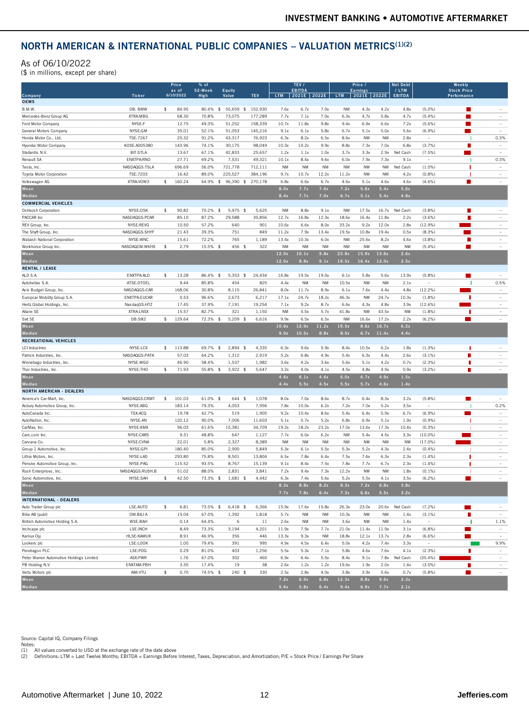#### As of 06/10/2022

| (\$ in millions, except per share)                                                                                                                                                                                                                                                                                             |                           |     |                    |                |                 |                 |                  |                        |               |               |                          |                |                        |                          |                                                                                          |                          |
|--------------------------------------------------------------------------------------------------------------------------------------------------------------------------------------------------------------------------------------------------------------------------------------------------------------------------------|---------------------------|-----|--------------------|----------------|-----------------|-----------------|------------------|------------------------|---------------|---------------|--------------------------|----------------|------------------------|--------------------------|------------------------------------------------------------------------------------------|--------------------------|
|                                                                                                                                                                                                                                                                                                                                |                           |     | Price              | % of           |                 |                 |                  | TEV /                  |               |               | Price /                  |                | Net Debi               |                          | Weekly                                                                                   |                          |
| Company                                                                                                                                                                                                                                                                                                                        | <b>Ticker</b>             |     | as of<br>6/10/2022 | 52-Week        | Equity<br>Value | TEV             | <b>LTM</b>       | <b>EBITDA</b><br>2021E | 2022E         | <b>LTM</b>    | <b>Earnings</b><br>2021E | 2022E          | / LTM<br><b>EBITDA</b> |                          | <b>Stock Price</b><br>Performance                                                        |                          |
| <b>OEMS</b>                                                                                                                                                                                                                                                                                                                    |                           |     |                    | High           |                 |                 |                  |                        |               |               |                          |                |                        |                          |                                                                                          |                          |
| B.M.W.                                                                                                                                                                                                                                                                                                                         | DB: BMW                   | \$  | 84.95              | 80.4%<br>\$    | 55,659<br>-S    | 152,930         | 7.6x             | 6.7x                   | 7.0x          | <b>NM</b>     | 4.3x                     | 4.2x           | 4.8x                   | $(5.0\%)$                | $\mathcal{L}(\mathcal{L})$ and $\mathcal{L}(\mathcal{L})$ and $\mathcal{L}(\mathcal{L})$ |                          |
| Mercedes-Benz Group AG                                                                                                                                                                                                                                                                                                         | XTRA: MBG                 |     | 68.30              | 70.8%          | 73.075          | 177,289         | 7.7x             | 7.1x                   | 7.0x          | 6.3x          | 4.7x                     | 5.8x           | 4.7x                   | (5.4%)                   | п                                                                                        |                          |
| Ford Motor Company                                                                                                                                                                                                                                                                                                             | NYSE:F                    |     | 12.75              | 49.3%          | 51,252          | 158,339         | 10.7x            | 11.8x                  | 9.8x          | 9.4x          | 6.9x                     | 6.6x           | 7.2x                   | (5.6%)                   |                                                                                          |                          |
| General Motors Company                                                                                                                                                                                                                                                                                                         | NYSE:GM                   |     | 35.01              | 52.1%          | 51,053          | 145,216         | 9.1x             | 6.1x                   | 5.8x          | 6.7x          | 5.1x                     | 5.0x           | 5.6x                   | (6.9%                    |                                                                                          | $\overline{\phantom{a}}$ |
| Honda Motor Co., Ltd.                                                                                                                                                                                                                                                                                                          | TSE:7267                  |     | 25.32              | 91.2%          | 43,317          | 76,923          | 6.3x             | 8.2x                   | 6.5x          | 8.6x          | NM                       | <b>NM</b>      | 2.8x                   |                          |                                                                                          | 0.3%                     |
| Hyundai Motor Company                                                                                                                                                                                                                                                                                                          | KOSE:A005380              |     | 143.96             | 74.1%          | 30,175          | 98,049          | 10.3x            | 10.2x                  | 9.9x          | 8.8x          | 7.3x                     | 7.0x           | 6.8x                   | (3.7%)                   |                                                                                          |                          |
| Stellantis N.V.                                                                                                                                                                                                                                                                                                                | BIT:STLA                  |     | 13.67              | 67.1%          | 42,833          | 25,657          | 1.2x             | 1.1x                   | 1.0x          | 3.7x          | 3.3x                     | 2.9x           | Net Cash               | (7.5%)                   |                                                                                          | $\overline{\phantom{a}}$ |
| Renault SA                                                                                                                                                                                                                                                                                                                     | ENXTPA: RNO               |     | 27.71              | 69.2%          | 7,531           | 49,321          | 10.1x            | 8.4x                   | 9.6x          | 6.0x          | 7.9x                     | 7.3x           | 9.1x                   | $\overline{\phantom{a}}$ |                                                                                          | 0.3%                     |
| Tesla, Inc.                                                                                                                                                                                                                                                                                                                    | NASDAQGS:TSLA             |     | 696.69             | 56.0%          | 721,778         | 712,111         | <b>NM</b>        | <b>NM</b>              | <b>NM</b>     | <b>NM</b>     | <b>NM</b>                | <b>NM</b>      | Net Cash               | $(1.0\%)$                | п                                                                                        |                          |
| Toyota Motor Corporation                                                                                                                                                                                                                                                                                                       | TSE:7203                  |     | 16.42              | 89.0%          | 225,527         | 384,196         | 9.7x             | 10.7x                  | 12.2x         | 11.2x         | <b>NM</b>                | <b>NM</b>      | 4.2x                   | (0.8%                    |                                                                                          |                          |
| Volkswagen AG                                                                                                                                                                                                                                                                                                                  | XTRA: VOW3                | \$  | 160.24             | 64.9% \$       | 96.390 \$       | 270,178         | 6.8              | 6.6x                   | 6.7x          | 4.6x          | 5.1x                     | 4.6x           | 4.6x                   | $(4.6\%)$                | ■                                                                                        | $\overline{\phantom{a}}$ |
| Mean                                                                                                                                                                                                                                                                                                                           |                           |     |                    |                |                 |                 | 8.0x             | 7.7x                   | 7.6x          | 7.2x          | 5.6x                     | 5.4x           | 5.6x                   |                          |                                                                                          |                          |
| Median                                                                                                                                                                                                                                                                                                                         |                           |     |                    |                |                 |                 | 8.4x             | 7.7x                   | 7.0x          | 6.7x          | 5.1x                     | 5.4x           | 4.8x                   |                          |                                                                                          |                          |
| <b>COMMERCIAL VEHICLES</b>                                                                                                                                                                                                                                                                                                     | NYSE:OSK                  | \$  | 90.82              | 70.2% \$       | 5,975 \$        |                 | <b>NM</b>        |                        |               | <b>NM</b>     |                          |                |                        | (3.8%)                   |                                                                                          |                          |
| Oshkosh Corporation<br>PACCAR Inc                                                                                                                                                                                                                                                                                              | NASDAQGS:PCAR             |     | 85.10              | 87.2%          | 29,588          | 5,625<br>35,856 | 12.7x            | 8.8x<br>16.8x          | 9.1x<br>12.3x | 18.6x         | 17.5x<br>16.4x           | 16.7x<br>11.8x | Net Cash<br>2.2x       | $(3.6\%)$                |                                                                                          |                          |
| REV Group, Inc.                                                                                                                                                                                                                                                                                                                | NYSE:REVG                 |     | 10.50              | 57.2%          | 640             | 901             | 10.6x            | 6.6x                   | 8.0x          | 33.2x         | 9.2x                     | 12.0x          | 2.8x                   | (12.9%)                  |                                                                                          |                          |
| The Shyft Group, Inc.                                                                                                                                                                                                                                                                                                          | NASDAQGS:SHYF             |     | 21.43              | 39.3%          | 751             | 849             | 11.2x            | 7.9x                   | 13.4x         | 19.5x         | 10.8x                    | 19.4x          | 0.5x                   | $(8.3\%)$                |                                                                                          |                          |
| Wabash National Corporation                                                                                                                                                                                                                                                                                                    | NYSE:WNC                  |     | 15.61              | 72.2%          | 765             | 1,189           | 13.4x            | 10.3x                  | 6.0x          | <b>NM</b>     | 25.6x                    | 8.2x           | 4.6x                   | $(3.8\%)$                |                                                                                          |                          |
| Workhorse Group Inc                                                                                                                                                                                                                                                                                                            | NASDAQCM:WKHS             | -\$ | 2.79               | 15.5% \$       | 456 \$          | 322             | <b>NM</b>        | <b>NM</b>              | <b>NM</b>     | <b>NM</b>     | <b>NM</b>                | <b>NM</b>      | <b>NM</b>              | (5.4%)                   | П                                                                                        |                          |
| Mean                                                                                                                                                                                                                                                                                                                           |                           |     |                    |                |                 |                 | 12.0x            | 10.1x                  | 9.8x          | 23.8x         | 15.9x                    | 13.6x          | 2.6x                   |                          |                                                                                          |                          |
| Median                                                                                                                                                                                                                                                                                                                         |                           |     |                    |                |                 |                 | 12.0x            | 8.8x                   | 9.1x          | 19.5x         | 16.4x                    | 12.0x          | 2.5x                   |                          |                                                                                          |                          |
| <b>RENTAL / LEASE</b>                                                                                                                                                                                                                                                                                                          |                           |     |                    |                |                 |                 |                  |                        |               |               |                          |                |                        |                          |                                                                                          |                          |
| ALD S.A                                                                                                                                                                                                                                                                                                                        | ENXTPA:ALD                | \$  | 13.28              | 86.4%<br>-\$   | 5,353 \$        | 24,434          | 16.8x            | 19.5x                  | 19.0x         | 6.1x          | 5.8x                     | 5.6x           | 13.9x                  | (5.8%)                   | п                                                                                        | $\overline{\phantom{a}}$ |
| Autohellas S.A.                                                                                                                                                                                                                                                                                                                | ATSE:OTOEL                |     | 9.44               | 85.8%          | 454             | 825             | 4.4x             | <b>NM</b>              | <b>NM</b>     | 10.5x         | <b>NM</b>                | <b>NM</b>      | 2.1x                   |                          |                                                                                          | 0.5%                     |
| Avis Budget Group, Inc.                                                                                                                                                                                                                                                                                                        | NASDAQGS:CAR              |     | 168.06             | 30.8%          | 8,115           | 26,841          | 8.0x             | 11.7x                  | 8.9x          | 6.1x          | 7.6x                     | 4.4x           | 4.8x                   | (12.2%)                  |                                                                                          |                          |
| Europcar Mobility Group S.A.                                                                                                                                                                                                                                                                                                   | ENXTPA: EUCAR             |     | 0.53               | 96.6%          | 2,673           | 6,217           | 17.1x            | 24.7x                  | 18.2x         | 46.3x         | <b>NM</b>                | 24.7x          | 10.3x                  | (1.8%                    |                                                                                          |                          |
| Hertz Global Holdings, Inc.                                                                                                                                                                                                                                                                                                    | NasdaqGS:HTZ              |     | 17.45              | 37.9%          | 7,191           | 19,254          | 7.1x             | 9.2x                   | 8.7x          | 6.6x          | 4.3x                     | 4.8x           | 3.9x                   | (12.6%)                  |                                                                                          |                          |
| Allane SE                                                                                                                                                                                                                                                                                                                      | XTRA: LNSX                |     | 15.57              | 82.7%          | 321             | 1,150           | NM               | 5.5x                   | 5.7x          | 41.8x         | NM                       | 43.5x          | NM                     | (1.8%)                   |                                                                                          |                          |
| Sixt SE                                                                                                                                                                                                                                                                                                                        | DB:SIX2                   | \$  | 129.64             | 72.3%<br>-\$   | $5,209$ \$      | 6,616           | 9.9x             | 6.5x                   | 6.5x          | <b>NM</b>     | 16.6x                    | 17.2x          | 2.2x                   | (6.2%)                   |                                                                                          | $\overline{\phantom{a}}$ |
| Mean                                                                                                                                                                                                                                                                                                                           |                           |     |                    |                |                 |                 | 10.6x            | 12.9x                  | 11.2x         | 19.5x         | 8.6x                     | 16.7x          | 6.2x                   |                          |                                                                                          |                          |
| Median                                                                                                                                                                                                                                                                                                                         |                           |     |                    |                |                 |                 | 9.0x             | 10.5x                  | 8.8x          | 8.5x          | 6.7x                     | 11.4x          | 4.4x                   |                          |                                                                                          |                          |
| <b>RECREATIONAL VEHICLES</b>                                                                                                                                                                                                                                                                                                   |                           |     |                    |                |                 |                 |                  |                        |               |               |                          |                |                        |                          |                                                                                          |                          |
| <b>LCI</b> Industries                                                                                                                                                                                                                                                                                                          | NYSE:LCII                 | \$  | 113.88             | 69.7%<br>-\$   | $2,894$ \$      | 4,335           | 6.3x             | 9.6x                   | 5.9x          | 8.4x          | 10.5x                    | 6.2x           | 1.8x                   | (1.3%)                   | п                                                                                        |                          |
| Patrick Industries, Inc.                                                                                                                                                                                                                                                                                                       | NASDAQGS:PATK<br>NYSE:WGO |     | 57.03<br>46.90     | 64.2%<br>58.4% | 1,312<br>1,537  | 2,919<br>1,982  | 5.2x<br>3.6x     | 6.8x<br>4.2x           | 4.9x<br>3.6x  | 5.4x<br>5.6x  | 6.3x<br>5.1x             | 4.4x<br>4.2x   | 2.6x<br>0.7x           | (3.1%<br>(2.3% )         | г                                                                                        |                          |
| Winnebago Industries, Inc.<br>Thor Industries, Inc.                                                                                                                                                                                                                                                                            | NYSE:THO                  | \$  | 71.93              | 55.8% \$       | $3,922$ \$      | 5.647           | 3.2x             | 4.0x                   | 4.1x          | 4.5x          | 4.8x                     | 4.9x           | 0.9x                   | (3.2%)                   | п                                                                                        | $\overline{\phantom{a}}$ |
| Mean                                                                                                                                                                                                                                                                                                                           |                           |     |                    |                |                 |                 | 4.6x             | 6.1x                   | 4.6x          | 6.0x          | 6.7x                     | 4.9x           | 1.5x                   |                          |                                                                                          |                          |
| Median                                                                                                                                                                                                                                                                                                                         |                           |     |                    |                |                 |                 | 4.4x             | 5.5x                   | 4.5x          | 5.5x          | 5.7x                     | 4.6x           | 1.4x                   |                          |                                                                                          |                          |
| <b>NORTH AMERICAN - DEALERS</b>                                                                                                                                                                                                                                                                                                |                           |     |                    |                |                 |                 |                  |                        |               |               |                          |                |                        |                          |                                                                                          |                          |
| America's Car-Mart, Inc.                                                                                                                                                                                                                                                                                                       | NASDAQGS:CRMT             | \$  | 101.03             | 61.0% \$       | 644 \$          | 1,078           | 8.0x             | 7.0x                   | 8.6x          | 8.7x          | 6.4x                     | 8.3x           | 3.2x                   | (5.8%)                   |                                                                                          | $\overline{a}$           |
| As bury Automotive Group, Inc.                                                                                                                                                                                                                                                                                                 | NYSE:ABG                  |     | 183.14             | 79.3%          | 4,053           | 7,956           | 7.8x             | 10.0x                  | 6.2x          | 7.2x          | 7.0x                     | 5.2x           | 3.5x                   | J.                       |                                                                                          | 0.2%                     |
|                                                                                                                                                                                                                                                                                                                                | TSX: ACQ                  |     | 19.78              | 42.7%          | 519             | 1,905           | 9.2x             | 10.4x                  | 8.6x          | 5.4x          | 6.4x                     | 5.9x           | 6.7x                   | (6.9%                    |                                                                                          |                          |
|                                                                                                                                                                                                                                                                                                                                |                           |     | 120.12             | 90.0%          | 7,006           | 11,603          | 5.1x             | 5.7x                   | 5.2x          | 6.8x          | 6.9x                     | 5.1x           | 1.9x                   | (0.9%                    |                                                                                          |                          |
|                                                                                                                                                                                                                                                                                                                                | NYSE: AN                  |     |                    |                | 15,381          | 34,709          |                  |                        | 23.2x         | 17.0x         | 13.6x                    | 17.3x          | 10.4x                  | (0.3%                    |                                                                                          |                          |
|                                                                                                                                                                                                                                                                                                                                | NYSE:KMX                  |     | 96.03              | 61.6%          |                 |                 | 19.2x            | 18.2x                  |               |               |                          |                |                        |                          |                                                                                          |                          |
|                                                                                                                                                                                                                                                                                                                                | NYSE:CARS                 |     | 9.31               | 48.8%          | 647             | 1,127           | 7.7x             | 6.0x                   | 6.2x          | <b>NM</b>     | 5.4x                     | 4.5x           | 3.3x                   | $(10.0\%)$               |                                                                                          |                          |
|                                                                                                                                                                                                                                                                                                                                | NYSE:CVNA                 |     | 22.01              | 5.8%           | 2,327           | 8,389           | <b>NM</b>        | NM                     | <b>NM</b>     | <b>NM</b>     | <b>NM</b>                | <b>NM</b>      | <b>NM</b>              | $(17.0\%)$               |                                                                                          |                          |
|                                                                                                                                                                                                                                                                                                                                | NYSE:GPI                  |     | 180.40             | 85.0%          | 2,900           | 5,849           | 5.3x             | 6.1x                   | 5.5x          | 5.3x          | 5.2x                     | 4.3x           | 2.4x                   | (0.4%                    |                                                                                          |                          |
|                                                                                                                                                                                                                                                                                                                                | NYSE:LAD                  |     | 293.80             | 75.8%          | 8,501           | 13,804          | 6.5x             | 7.8x                   | 6.4x          | 7.5x          | 7.6x                     | 6.3x           | 2.3x                   | (1.4% )                  |                                                                                          |                          |
|                                                                                                                                                                                                                                                                                                                                | NYSE:PAG                  |     | 115.52             | 93.5%          | 8.767           | 15.139          | 9.1x             | 8.4x                   | 7.5x          | 7.8x          | 7.7x                     | 6.7x           | 2.3x                   | (1.4% )                  |                                                                                          |                          |
|                                                                                                                                                                                                                                                                                                                                | NASDAQGS:RUSH.B           |     | 51.02              | 88.0%          | 2,831           | 3.841           | 7.2x             | 9.4x                   | 7.3x          | 12.2x         | <b>NM</b>                | <b>NM</b>      | 1.8x                   | $(0.1\%)$                |                                                                                          |                          |
|                                                                                                                                                                                                                                                                                                                                | NYSE:SAH                  |     | 42.50              | 73.3%          | 1.681           | 4.442           | 6.3 <sub>2</sub> | 7.4                    | 5.6x          | 5.2           | 5.5 <sub>2</sub>         | 4.1x           | 3.5x                   | (6.2%                    |                                                                                          |                          |
|                                                                                                                                                                                                                                                                                                                                |                           |     |                    |                |                 |                 | 8.3x             | 8.8x                   | 8.2x          | 8.3x          | 7.2x                     | 6.8x           | 3.8x                   |                          |                                                                                          |                          |
|                                                                                                                                                                                                                                                                                                                                |                           |     |                    |                |                 |                 | 7.7x             | 7.8x                   | 6.4x          | 7.3x          | 6.6x                     | 5.5x           | 3.2x                   |                          |                                                                                          |                          |
|                                                                                                                                                                                                                                                                                                                                |                           |     |                    |                |                 |                 |                  |                        |               |               |                          |                |                        |                          |                                                                                          |                          |
|                                                                                                                                                                                                                                                                                                                                | LSE:AUTO                  | \$  | 6.81               | 73.5% \$       | $6,418$ \$      | 6,366           | 15.9x            | 17.6x                  | 15.8x         | 26.3x         | 23.0x                    | 20.6x          | Net Cash               | (7.2%)                   |                                                                                          | $\overline{a}$           |
|                                                                                                                                                                                                                                                                                                                                | OM:BILI A                 |     | 15.04              | 67.0%          | 1,392           | 1,818           | 5.7x             | <b>NM</b>              | <b>NM</b>     | 10.3x         | <b>NM</b>                | <b>NM</b>      | 1.4x                   | $(3.1\%)$                | п                                                                                        | $\overline{\phantom{a}}$ |
|                                                                                                                                                                                                                                                                                                                                | WSE:BAH                   |     | 0.14               | 64.4%          | 6               | 11              | 2.6x             | <b>NM</b>              | <b>NM</b>     | 3.6x          | <b>NM</b>                | <b>NM</b>      | 1.4x                   | $\overline{\phantom{a}}$ |                                                                                          | 1.1%                     |
|                                                                                                                                                                                                                                                                                                                                | LSE: INCH                 |     | 8.49               | 73.3%          | 3,194           | 4,201           | 11.9x            | 7.9x                   | 7.7x          | 21.0x         | 11.4x                    | 11.9x          | 3.1x                   | (6.8%)                   | m.                                                                                       | $\overline{\phantom{a}}$ |
| AutoCanada Inc<br>AutoNation, Inc<br>CarMax, Inc.<br>Lithia Motors, Inc.<br>Penske Automotive Group, Inc.<br>Mean<br>Median<br>Auto Trader Group plc<br>Kamux Oyj                                                                                                                                                              | HLSE:KAMUX                |     | 8.91               | 46.9%          | 356             | 446             | 13.3x            | 9.3x                   | <b>NM</b>     | 18.8x         | 12.1x                    | 13.7x          | 2.8x                   | (6.6%)                   |                                                                                          | $\overline{\phantom{a}}$ |
| Lookers plc                                                                                                                                                                                                                                                                                                                    | LSE:LOOK                  |     | 1.00               | 79.4%          | 391             | 995             | 4.9x             | 4.5x                   | 6.4x          | 5.0x          | 4.2x                     | 7.4x           | 3.3x                   | $\overline{\phantom{a}}$ |                                                                                          | 9.9%                     |
|                                                                                                                                                                                                                                                                                                                                | LSE:PDG                   |     | 0.29               | 81.0%          | 403             | 1,256           | 5.5x             | 5.3x                   | 7.1x          | 5.8x          | 4.6x                     | 7.6x           | 4.1x                   | (2.3% )                  |                                                                                          |                          |
|                                                                                                                                                                                                                                                                                                                                | ASX:PWR                   |     | 1.76               | 67.0%          | 302             | 460             | 6.9x             | 6.4x                   | 5.5x          | 8.4x          | 9.1x                     | 7.8x           | Net Cash               | (35.4%                   |                                                                                          |                          |
|                                                                                                                                                                                                                                                                                                                                | ENXTAM:PBH                |     | 3.35               | 17.4%          | 19              | 38              | 2.6x             | 1.2x                   | 1.2x          | 19.6x         | 1.9x                     | 2.0x           | 1.4x                   | $(3.0\%)$                |                                                                                          |                          |
| Cars.com Inc<br>Carvana Co.<br>Group 1 Automotive, Inc.<br>Rush Enterprises, Inc.<br>Sonic Automotive, Inc<br><b>INTERNATIONAL - DEALERS</b><br>Bilia AB (publ)<br>British Automotive Holding S.A.<br>Inchcape plc<br>Pendragon PLC<br>Peter Warren Automotive Holdings Limited<br>PB Holding N.V.<br>Vertu Motors plc<br>Mean | AIM:VTU                   | \$  | 0.70               | 74.5% \$       | $240$ \$        | 330             | 2.5x<br>7.2x     | 2.8x<br>6.9x           | 4.0x<br>6.8x  | 3.8x<br>12.3x | 3.9x<br>8.8x             | 5.6x<br>9.6x   | 0.7x<br>2.3x           | (5.8%)                   | ■                                                                                        |                          |

Source: Capital IQ, Company Filings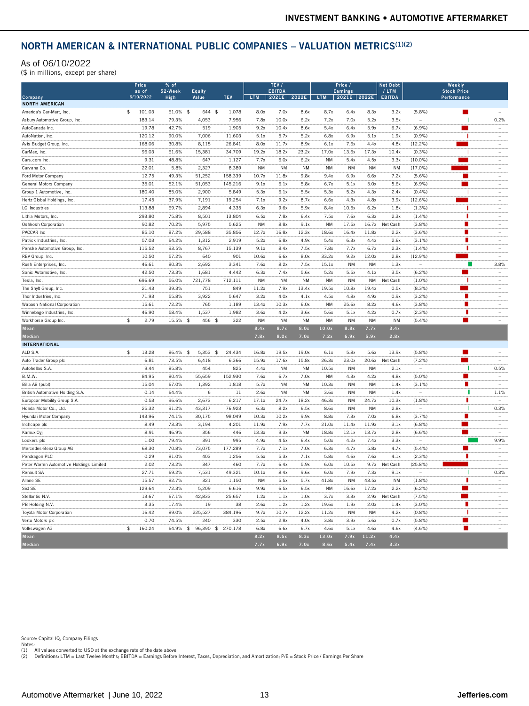#### As of 06/10/2022

| (\$ in millions, except per share)       |                    |                 |                 |                   |           |                        |           |           |                                 |                    |                        |                          |                                   |                          |
|------------------------------------------|--------------------|-----------------|-----------------|-------------------|-----------|------------------------|-----------|-----------|---------------------------------|--------------------|------------------------|--------------------------|-----------------------------------|--------------------------|
|                                          | Price              | % of            |                 |                   |           | TEV /                  |           |           | Price /                         |                    | <b>Net Debt</b>        |                          | Weekly                            |                          |
| Company                                  | as of<br>6/10/2022 | 52-Week<br>High | Equity<br>Value | <b>TEV</b>        | LTM       | <b>EBITDA</b><br>2021E | 2022E     | LTM       | <b>Earnings</b><br> 2021E 2022E |                    | / LTM<br><b>EBITDA</b> |                          | <b>Stock Price</b><br>Performance |                          |
| <b>NORTH AMERICAN</b>                    |                    |                 |                 |                   |           |                        |           |           |                                 |                    |                        |                          |                                   |                          |
| America's Car-Mart, Inc.                 | \$<br>101.03       | 61.0% \$        | 644 \$          | 1,078             | 8.0x      | 7.0x                   | 8.6x      | 8.7x      | 6.4x                            | 8.3x               | 3.2x                   | (5.8%)                   | п                                 | $\sim$                   |
| As bury Automotive Group, Inc.           | 183.14             | 79.3%           | 4,053           | 7,956             | 7.8x      | 10.0x                  | 6.2x      | 7.2x      | 7.0x                            | 5.2x               | 3.5x                   |                          |                                   | 0.2%                     |
| AutoCanada Inc.                          | 19.78              | 42.7%           | 519             | 1.905             | 9.2x      | 10.4x                  | 8.6x      | 5.4x      | 6.4x                            | 5.9x               | 6.7x                   | (6.9%                    | a.                                | $\sim$                   |
| AutoNation, Inc.                         | 120.12             | 90.0%           | 7,006           | 11.603            | 5.1x      | 5.7x                   | 5.2x      | 6.8x      | 6.9x                            | 5.1x               | 1.9x                   | (0.9%                    |                                   |                          |
| Avis Budget Group, Inc.                  | 168.06             | 30.8%           | 8.115           | 26,841            | 8.0x      | 11.7x                  | 8.9x      | 6.1x      | 7.6x                            | 4.4x               | 4.8x                   | $(12.2\%)$               |                                   |                          |
| CarMax, Inc.                             | 96.03              | 61.6%           | 15.381          | 34.709            | 19.2x     | 18.2x                  | 23.2x     | 17.0x     | 13.6x                           | 17.3x              | 10.4x                  | (0.3%                    |                                   | $\sim$                   |
| Cars.com Inc                             | 9.31               | 48.8%           | 647             | 1,127             | 7.7x      | 6.0x                   | 6.2x      | <b>NM</b> | 5.4x                            | 4.5x               | 3.3x                   | $(10.0\%)$               | <b>Contract</b>                   | $\sim$                   |
| Carvana Co.                              | 22.01              | 5.8%            | 2,327           | 8,389             | <b>NM</b> | <b>NM</b>              | NM        | <b>NM</b> | <b>NM</b>                       | <b>NM</b>          | <b>NM</b>              | $(17.0\%)$               |                                   |                          |
| Ford Motor Company                       | 12.75              | 49.3%           | 51,252          | 158.339           | 10.7x     | 11.8x                  | 9.8x      | 9.4x      | 6.9x                            | 6.6x               | 7.2x                   | $(5.6\%)$                |                                   | $\sim$                   |
| General Motors Company                   | 35.01              | 52.1%           | 51,053          | 145,216           | 9.1x      | 6.1x                   | 5.8x      | 6.7x      | 5.1x                            | 5.0x               | 5.6x                   | (6.9%                    | π                                 | ÷.                       |
| Group 1 Automotive, Inc.                 | 180.40             | 85.0%           | 2,900           | 5.849             | 5.3x      | 6.1x                   | 5.5x      | 5.3x      | 5.2x                            | 4.3x               | 2.4x                   | (0.4% )                  |                                   |                          |
| Hertz Global Holdings, Inc.              | 17.45              | 37.9%           | 7,191           | 19,254            | 7.1x      | 9.2x                   | 8.7x      | 6.6x      | 4.3x                            | 4.8x               | 3.9x                   | (12.6%)                  |                                   |                          |
| <b>LCI</b> Industries                    | 113.88             | 69.7%           | 2,894           | 4,335             | 6.3x      | 9.6x                   | 5.9x      | 8.4x      | 10.5x                           | 6.2x               | 1.8x                   | (1.3%)                   | 1                                 |                          |
| Lithia Motors, Inc.                      | 293.80             | 75.8%           | 8.501           | 13.804            | 6.5x      | 7.8x                   | 6.4x      | 7.5x      | 7.6x                            | 6.3x               | 2.3x                   | $(1.4\%)$                | п                                 |                          |
| Oshkosh Corporation                      | 90.82              | 70.2%           | 5,975           | 5,625             | <b>NM</b> | 8.8x                   | 9.1x      | <b>NM</b> | 17.5x                           | 16.7x              | Net Cash               | (3.8%)                   |                                   |                          |
| PACCAR Inc                               | 85.10              | 87.2%           | 29,588          | 35,856            | 12.7x     | 16.8x                  | 12.3x     | 18.6x     | 16.4x                           | 11.8x              | 2.2x                   | (3.6%)                   |                                   |                          |
| Patrick Industries, Inc.                 | 57.03              | 64.2%           | 1,312           | 2,919             | 5.2x      | 6.8x                   | 4.9x      | 5.4x      | 6.3x                            | 4.4x               | 2.6x                   | (3.1% )                  | П                                 | $\overline{\phantom{a}}$ |
| Penske Automotive Group, Inc.            | 115.52             | 93.5%           | 8,767           | 15,139            | 9.1x      | 8.4x                   | 7.5x      | 7.8x      | 7.7x                            | 6.7x               | 2.3x                   | $(1.4\%)$                | п                                 | $\sim$                   |
| REV Group, Inc.                          | 10.50              | 57.2%           | 640             | 901               | 10.6x     | 6.6x                   | 8.0x      | 33.2x     | 9.2x                            | 12.0x              | 2.8x                   | (12.9%                   |                                   | ÷                        |
| Rush Enterprises, Inc.                   | 46.61              | 80.3%           | 2,692           | 3,341             | 7.6x      | 8.2x                   | 7.5x      | 15.1x     | <b>NM</b>                       | <b>NM</b>          | 1.3x                   | $\overline{\phantom{a}}$ | г                                 | 3.8%                     |
| Sonic Automotive, Inc.                   | 42.50              | 73.3%           | 1,681           | 4,442             | 6.3x      | 7.4x                   | 5.6x      | 5.2x      | 5.5x                            | 4.1x               | 3.5x                   | (6.2%)                   | m.                                | ÷                        |
| Tesla, Inc.                              | 696.69             | 56.0%           | 721,778         | 712,111           | <b>NM</b> | <b>NM</b>              | <b>NM</b> | <b>NM</b> | <b>NM</b>                       | <b>NM</b>          | Net Cash               | $(1.0\%)$                |                                   | $\overline{\phantom{a}}$ |
| The Shyft Group, Inc.                    | 21.43              | 39.3%           | 751             | 849               | 11.2x     | 7.9x                   | 13.4x     | 19.5x     | 10.8x                           | 19.4x              | 0.5x                   | (8.3%)                   |                                   |                          |
| Thor Industries, Inc.                    | 71.93              | 55.8%           | 3,922           | 5,647             | 3.2x      | 4.0x                   | 4.1x      | 4.5x      | 4.8x                            | 4.9x               | 0.9x                   | (3.2%)                   | п                                 | $\sim$                   |
| Wabash National Corporation              | 15.61              | 72.2%           | 765             | 1,189             | 13.4x     | 10.3x                  | 6.0x      | <b>NM</b> | 25.6x                           | 8.2x               | 4.6x                   | (3.8%)                   |                                   | $\overline{\phantom{a}}$ |
| Winnebago Industries, Inc.               | 46.90              | 58.4%           | 1.537           | 1.982             | 3.6x      | 4.2x                   | 3.6x      | 5.6x      | 5.1x                            | 4.2x               | 0.7x                   | (2.3%                    | п                                 | ÷.                       |
| Workhorse Group Inc.                     | \$<br>2.79         | 15.5% \$        | 456 \$          | 322               | <b>NM</b> | <b>NM</b>              | NM        | <b>NM</b> | <b>NM</b>                       | <b>NM</b>          | <b>NM</b>              | (5.4%                    | ■                                 | $\sim$                   |
| Mean                                     |                    |                 |                 |                   | 8.4x      | 8.7x                   | 8.0x      | 10.0x     | 8.8x                            | 7.7x               | 3.4x                   |                          |                                   |                          |
| Median                                   |                    |                 |                 |                   | 7.8x      | 8.0x                   | 7.0x      | 7.2x      | 6.9x                            | 5.9x               | 2.8x                   |                          |                                   |                          |
| <b>INTERNATIONAL</b>                     |                    |                 |                 |                   |           |                        |           |           |                                 |                    |                        |                          |                                   |                          |
| ALD S.A.                                 | \$<br>13.28        | 86.4% \$        | $5.353$ \$      | 24.434            | 16.8x     | 19.5x                  | 19.0x     | 6.1x      | 5.8x                            | 5.6x               | 13.9x                  | (5.8%                    |                                   |                          |
| Auto Trader Group plc                    | 6.81               | 73.5%           | 6,418           | 6,366             | 15.9x     | 17.6x                  | 15.8x     | 26.3x     | 23.0x                           | 20.6x              | Net Cash               | (7.2%)                   |                                   | $\overline{a}$           |
| Autobellas S.A.                          | 9.44               | 85.8%           | 454             | 825               | 4.4x      | <b>NM</b>              | <b>NM</b> | 10.5x     | <b>NM</b>                       | <b>NM</b>          | 2.1x                   |                          |                                   | 0.5%                     |
| B.M.W.                                   | 84.95              | 80.4%           | 55,659          | 152,930           | 7.6x      | 6.7x                   | 7.0x      | <b>NM</b> | 4.3x                            | 4.2x               | 4.8x                   | (5.0%                    | π                                 |                          |
|                                          |                    |                 |                 |                   |           |                        |           |           |                                 |                    |                        |                          | п                                 | ÷,                       |
| Bilia AB (publ)                          | 15.04              | 67.0%           | 1.392           | 1.818             | 5.7x      | <b>NM</b>              | <b>NM</b> | 10.3x     | <b>NM</b>                       | <b>NM</b>          | 1.4x                   | $(3.1\%)$                | п                                 |                          |
| British Automotive Holding S.A.          | 0.14               | 64.4%           | 6               | 11                | 2.6x      | <b>NM</b>              | <b>NM</b> | 3.6x      | <b>NM</b>                       | <b>NM</b>          | 1.4x                   |                          | п                                 | 1.1%                     |
| Europcar Mobility Group S.A              | 0.53               | 96.6%           | 2,673           | 6,217             | 17.1x     | 24.7x                  | 18.2x     | 46.3x     | <b>NM</b>                       | 24.7x<br><b>NM</b> | 10.3x                  | (1.8%)                   |                                   | $\sim$                   |
| Honda Motor Co., Ltd.                    | 25.32              | 91.2%           | 43,317          | 76,923            | 6.3x      | 8.2x                   | 6.5x      | 8.6x      | <b>NM</b>                       |                    | 2.8x                   |                          | П                                 | 0.3%<br>$\sim$           |
| Hyundai Motor Company                    | 143.96             | 74.1%           | 30,175          | 98,049            | 10.3x     | 10.2x                  | 9.9x      | 8.8x      | 7.3x                            | 7.0x               | 6.8x                   | (3.7%)                   | $\mathcal{L}_{\mathcal{A}}$       | $\sim$                   |
| Inchcape plc                             | 8.49               | 73.3%           | 3,194           | 4,201             | 11.9x     | 7.9x                   | 7.7x      | 21.0x     | 11.4x                           | 11.9x              | 3.1x                   | (6.8%)                   |                                   |                          |
| Kamux Oyj                                | 8.91               | 46.9%           | 356             | 446               | 13.3x     | 9.3x                   | <b>NM</b> | 18.8x     | 12.1x                           | 13.7x              | 2.8x                   | (6.6%                    |                                   |                          |
| Lookers plc                              | 1.00               | 79.4%           | 391             | 995               | 4.9x      | 4.5x                   | 6.4x      | 5.0x      | 4.2x                            | 7.4x               | 3.3x                   | $\sim$                   |                                   | 9.9%                     |
| Mercedes-Benz Group AG                   | 68.30              | 70.8%           | 73,075          | 177,289           | 7.7x      | 7.1x                   | 7.0x      | 6.3x      | 4.7x                            | 5.8x               | 4.7x                   | (5.4%)                   | L.<br>п                           |                          |
| Pendragon PLC                            | 0.29               | 81.0%           | 403             | 1,256             | 5.5x      | 5.3x                   | 7.1x      | 5.8x      | 4.6x                            | 7.6x               | 4.1x                   | (2.3% )                  |                                   | $\sim$                   |
| Peter Warren Automotive Holdings Limited | 2.02               | 73.2%           | 347             | 460               | 7.7x      | 6.4x                   | 5.9x      | 6.0x      | 10.5x                           | 9.7x               | Net Cash               | (25.8%)                  |                                   | $\sim$                   |
| Renault SA                               | 27.71              | 69.2%           | 7,531           | 49,321            | 10.1x     | 8.4x                   | 9.6x      | 6.0x      | 7.9x                            | 7.3x               | 9.1x                   |                          |                                   | 0.3%                     |
| Allane SE                                | 15.57              | 82.7%           | 321             | 1.150             | <b>NM</b> | 5.5x                   | 5.7x      | 41.8x     | <b>NM</b>                       | 43.5x              | <b>NM</b>              | (1.8%)                   | п                                 | $\sim$                   |
| Sixt SE                                  | 129.64             | 72.3%           | 5,209           | 6.616             | 9.9x      | 6.5x                   | 6.5x      | <b>NM</b> | 16.6x                           | 17.2x              | 2.2x                   | (6.2%                    | L.                                | $\sim$                   |
| Stellantis N.V.                          | 13.67              | 67.1%           | 42,833          | 25,657            | 1.2x      | 1.1x                   | 1.0x      | 3.7x      | 3.3x                            | 2.9x               | Net Cash               | (7.5%)                   |                                   | $\overline{\phantom{a}}$ |
| PB Holding N.V.                          | 3.35               | 17.4%           | 19              | 38                | 2.6x      | 1.2x                   | 1.2x      | 19.6x     | 1.9x                            | 2.0x               | 1.4x                   | $(3.0\%)$                | п                                 | $\overline{\phantom{a}}$ |
| <b>Toyota Motor Corporation</b>          | 16.42              | 89.0%           | 225.527         | 384.196           | 9.7x      | 10.7x                  | 12.2x     | 11.2x     | <b>NM</b>                       | <b>NM</b>          | 4.2x                   | (0.8%                    |                                   | $\sim$                   |
| Vertu Motors plc                         | 0.70               | 74.5%           | 240             | 330               | 2.5x      | 2.8x                   | 4.0x      | 3.8x      | 3.9x                            | 5.6x               | 0.7x                   | (5.8%)                   | п                                 | $\overline{\phantom{a}}$ |
| Volkswagen AG                            | \$<br>160.24       | 64.9% \$        |                 | 96,390 \$ 270,178 | 6.8x      | 6.6x                   | 6.7x      | 4.6x      | 5.1x                            | 4.6x               | 4.6x                   | (4.6%                    | г                                 |                          |
| Mean                                     |                    |                 |                 |                   | 8.2x      | 8.5x                   | 8.3x      | 13.0x     | 7.9x                            | 11.2x              | 4.4x                   |                          |                                   |                          |
| Median                                   |                    |                 |                 |                   | 7.7x      | 6.9x                   |           |           |                                 |                    |                        |                          |                                   |                          |

Source: Capital IQ, Company Filings